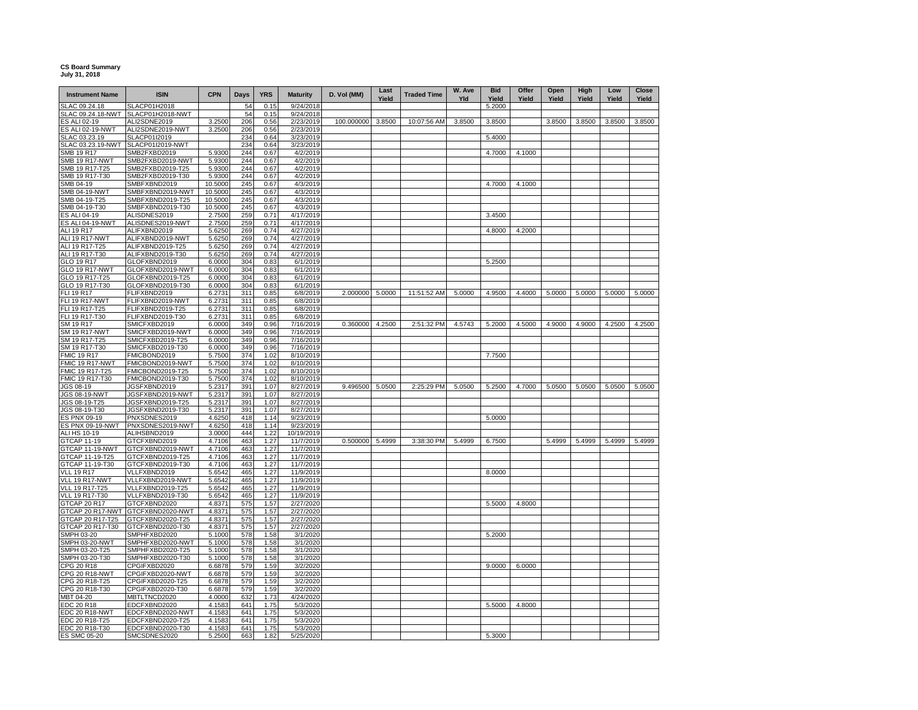## **CS Board Summary July 31, 2018**

| <b>Instrument Name</b>                 | <b>ISIN</b>                          | <b>CPN</b>       | Days       | <b>YRS</b>   | <b>Maturity</b>        | D. Vol (MM) | Last<br>Yield | <b>Traded Time</b> | W. Ave<br>Yld | <b>Bid</b><br>Yield | Offer<br>Yield | Open<br>Yield | High<br>Yield | Low<br>Yield | Close<br>Yield |
|----------------------------------------|--------------------------------------|------------------|------------|--------------|------------------------|-------------|---------------|--------------------|---------------|---------------------|----------------|---------------|---------------|--------------|----------------|
| SLAC 09.24.18                          | SLACP01H2018                         |                  | 54         | 0.15         | 9/24/2018              |             |               |                    |               | 5.2000              |                |               |               |              |                |
| SLAC 09.24.18-NWT                      | SLACP01H2018-NWT                     |                  | 54         | 0.15         | 9/24/2018              |             |               |                    |               |                     |                |               |               |              |                |
| <b>S ALI 02-19</b>                     | ALI2SDNE2019                         | 3.2500           | 206        | 0.56         | 2/23/2019              | 100.000000  | 3.8500        | 10:07:56 AM        | 3.8500        | 3.8500              |                | 3.8500        | 3.8500        | 3.8500       | 3.8500         |
| <b>ES ALI 02-19-NWT</b>                | ALI2SDNE2019-NWT                     | 3.2500           | 206        | 0.56         | 2/23/2019              |             |               |                    |               |                     |                |               |               |              |                |
| SLAC 03.23.19                          | SLACP01I2019                         |                  | 234        | 0.64         | 3/23/2019              |             |               |                    |               | 5.4000              |                |               |               |              |                |
| SLAC 03.23.19-NWT<br><b>SMB 19 R17</b> | SLACP01I2019-NWT                     |                  | 234<br>244 | 0.64         | 3/23/2019              |             |               |                    |               | 4.7000              | 4.1000         |               |               |              |                |
| <b>SMB 19 R17-NWT</b>                  | SMB2FXBD2019<br>SMB2FXBD2019-NWT     | 5.9300<br>5.9300 | 244        | 0.67<br>0.67 | 4/2/2019<br>4/2/2019   |             |               |                    |               |                     |                |               |               |              |                |
| SMB 19 R17-T25                         | SMB2FXBD2019-T25                     | 5.9300           | 244        | 0.67         | 4/2/2019               |             |               |                    |               |                     |                |               |               |              |                |
| SMB 19 R17-T30                         | SMB2FXBD2019-T30                     | 5.9300           | 244        | 0.67         | 4/2/2019               |             |               |                    |               |                     |                |               |               |              |                |
| SMB 04-19                              | SMBFXBND2019                         | 10.5000          | 245        | 0.67         | 4/3/2019               |             |               |                    |               | 4.7000              | 4.1000         |               |               |              |                |
| SMB 04-19-NWT                          | SMBFXBND2019-NWT                     | 10.5000          | 245        | 0.67         | 4/3/2019               |             |               |                    |               |                     |                |               |               |              |                |
| SMB 04-19-T25                          | SMBFXBND2019-T25                     | 10.5000          | 245        | 0.67         | 4/3/2019               |             |               |                    |               |                     |                |               |               |              |                |
| SMB 04-19-T30                          | SMBFXBND2019-T30                     | 10.5000          | 245        | 0.67         | 4/3/2019               |             |               |                    |               |                     |                |               |               |              |                |
| ES ALI 04-19                           | ALISDNES2019                         | 2.7500           | 259        | 0.71         | 4/17/2019              |             |               |                    |               | 3.4500              |                |               |               |              |                |
| <b>ES ALI 04-19-NWT</b>                | ALISDNES2019-NWT                     | 2.7500           | 259        | 0.71         | 4/17/2019              |             |               |                    |               |                     |                |               |               |              |                |
| <b>ALI 19 R17</b>                      | ALIFXBND2019                         | 5.6250           | 269        | 0.74         | 4/27/2019              |             |               |                    |               | 4.8000              | 4.2000         |               |               |              |                |
| ALI 19 R17-NWT                         | ALIFXBND2019-NWT                     | 5.6250           | 269        | 0.74         | 4/27/2019              |             |               |                    |               |                     |                |               |               |              |                |
| ALI 19 R17-T25                         | ALIFXBND2019-T25                     | 5.6250           | 269        | 0.74         | 4/27/2019              |             |               |                    |               |                     |                |               |               |              |                |
| ALI 19 R17-T30                         | ALIFXBND2019-T30                     | 5.6250           | 269<br>304 | 0.74         | 4/27/2019              |             |               |                    |               |                     |                |               |               |              |                |
| GLO 19 R17                             | GLOFXBND2019<br>GLOFXBND2019-NWT     | 6.0000<br>6.0000 | 304        | 0.83<br>0.83 | 6/1/2019<br>6/1/2019   |             |               |                    |               | 5.2500              |                |               |               |              |                |
| GLO 19 R17-NWT<br>GLO 19 R17-T25       | GLOFXBND2019-T25                     | 6.0000           | 304        | 0.83         | 6/1/2019               |             |               |                    |               |                     |                |               |               |              |                |
| GLO 19 R17-T30                         | GLOFXBND2019-T30                     | 6.0000           | 304        | 0.83         | 6/1/2019               |             |               |                    |               |                     |                |               |               |              |                |
| <b>FLI 19 R17</b>                      | FLIFXBND2019                         | 6.2731           | 311        | 0.85         | 6/8/2019               | 2.000000    | 5.0000        | 11:51:52 AM        | 5.0000        | 4.9500              | 4.4000         | 5.0000        | 5.0000        | 5.0000       | 5.0000         |
| <b>FLI 19 R17-NWT</b>                  | FLIFXBND2019-NWT                     | 6.2731           | 311        | 0.85         | 6/8/2019               |             |               |                    |               |                     |                |               |               |              |                |
| FLI 19 R17-T25                         | FLIFXBND2019-T25                     | 6.2731           | 311        | 0.85         | 6/8/2019               |             |               |                    |               |                     |                |               |               |              |                |
| FLI 19 R17-T30                         | FLIFXBND2019-T30                     | 6.2731           | 311        | 0.85         | 6/8/2019               |             |               |                    |               |                     |                |               |               |              |                |
| SM 19 R17                              | SMICFXBD2019                         | 6.0000           | 349        | 0.96         | 7/16/2019              | 0.360000    | 4.2500        | 2:51:32 PM         | 4.5743        | 5.2000              | 4.5000         | 4.9000        | 4.9000        | 4.2500       | 4.2500         |
| <b>SM 19 R17-NWT</b>                   | SMICFXBD2019-NWT                     | 6.0000           | 349        | 0.96         | 7/16/2019              |             |               |                    |               |                     |                |               |               |              |                |
| SM 19 R17-T25                          | SMICFXBD2019-T25                     | 6.0000           | 349        | 0.96         | 7/16/2019              |             |               |                    |               |                     |                |               |               |              |                |
| SM 19 R17-T30                          | SMICFXBD2019-T30                     | 6.0000           | 349        | 0.96         | 7/16/2019              |             |               |                    |               |                     |                |               |               |              |                |
| MIC 19 R17                             | FMICBOND2019                         | 5.7500           | 374        | 1.02         | 8/10/2019              |             |               |                    |               | 7.7500              |                |               |               |              |                |
| MIC 19 R17-NWT                         | FMICBOND2019-NWT                     | 5.7500           | 374        | 1.02         | 8/10/2019              |             |               |                    |               |                     |                |               |               |              |                |
| MIC 19 R17-T25                         | FMICBOND2019-T25                     | 5.7500           | 374        | 1.02         | 8/10/2019              |             |               |                    |               |                     |                |               |               |              |                |
| FMIC 19 R17-T30                        | FMICBOND2019-T30                     | 5.7500           | 374        | 1.02         | 8/10/2019              |             |               |                    |               |                     |                |               |               |              |                |
| JGS 08-19<br><b>JGS 08-19-NWT</b>      | JGSFXBND2019<br>JGSFXBND2019-NWT     | 5.2317<br>5.2317 | 391<br>391 | 1.07<br>1.07 | 8/27/2019<br>8/27/2019 | 9.496500    | 5.0500        | 2:25:29 PM         | 5.0500        | 5.2500              | 4.7000         | 5.0500        | 5.0500        | 5.0500       | 5.0500         |
| JGS 08-19-T25                          | JGSFXBND2019-T25                     | 5.2317           | 391        | 1.07         | 8/27/2019              |             |               |                    |               |                     |                |               |               |              |                |
| JGS 08-19-T30                          | JGSFXBND2019-T30                     | 5.2317           | 391        | 1.07         | 8/27/2019              |             |               |                    |               |                     |                |               |               |              |                |
| ES PNX 09-19                           | PNXSDNES2019                         | 4.6250           | 418        | 1.14         | 9/23/2019              |             |               |                    |               | 5.0000              |                |               |               |              |                |
| S PNX 09-19-NWT                        | PNXSDNES2019-NWT                     | 4.6250           | 418        | 1.14         | 9/23/2019              |             |               |                    |               |                     |                |               |               |              |                |
| ALI HS 10-19                           | ALIHSBND2019                         | 3.0000           | 444        | 1.22         | 10/19/2019             |             |               |                    |               |                     |                |               |               |              |                |
| <b>GTCAP 11-19</b>                     | GTCFXBND2019                         | 4.7106           | 463        | 1.27         | 11/7/2019              | 0.500000    | 5.4999        | 3:38:30 PM         | 5.4999        | 6.7500              |                | 5.4999        | 5.4999        | 5.4999       | 5.4999         |
| GTCAP 11-19-NWT                        | GTCFXBND2019-NWT                     | 4.7106           | 463        | 1.27         | 11/7/2019              |             |               |                    |               |                     |                |               |               |              |                |
| GTCAP 11-19-T25                        | GTCFXBND2019-T25                     | 4.7106           | 463        | 1.27         | 11/7/2019              |             |               |                    |               |                     |                |               |               |              |                |
| GTCAP 11-19-T30                        | GTCFXBND2019-T30                     | 4.7106           | 463        | 1.27         | 11/7/2019              |             |               |                    |               |                     |                |               |               |              |                |
| <b>VLL 19 R17</b>                      | VLLFXBND2019                         | 5.6542           | 465        | 1.27         | 11/9/2019              |             |               |                    |               | 8.0000              |                |               |               |              |                |
| VLL 19 R17-NWT                         | VLLFXBND2019-NWT                     | 5.6542           | 465        | 1.27         | 11/9/2019              |             |               |                    |               |                     |                |               |               |              |                |
| VLL 19 R17-T25<br>VLL 19 R17-T30       | VLLFXBND2019-T25<br>VLLFXBND2019-T30 | 5.6542<br>5.6542 | 465<br>465 | 1.27<br>1.27 | 11/9/2019<br>11/9/2019 |             |               |                    |               |                     |                |               |               |              |                |
| GTCAP 20 R17                           | GTCFXBND2020                         | 4.8371           | 575        | 1.57         | 2/27/2020              |             |               |                    |               | 5.5000              | 4.8000         |               |               |              |                |
|                                        | GTCAP 20 R17-NWT GTCFXBND2020-NWT    | 4.8371           | 575        | 1.57         | 2/27/2020              |             |               |                    |               |                     |                |               |               |              |                |
| GTCAP 20 R17-T25                       | GTCFXBND2020-T25                     | 4.8371           | 575        | 1.57         | 2/27/2020              |             |               |                    |               |                     |                |               |               |              |                |
| GTCAP 20 R17-T30                       | GTCFXBND2020-T30                     | 4.8371           | 575        | 1.57         | 2/27/2020              |             |               |                    |               |                     |                |               |               |              |                |
| SMPH 03-20                             | SMPHFXBD2020                         | 5.1000           | 578        | 1.58         | 3/1/2020               |             |               |                    |               | 5.2000              |                |               |               |              |                |
| <b>SMPH 03-20-NWT</b>                  | SMPHFXBD2020-NWT                     | 5.1000           | 578        | 1.58         | 3/1/2020               |             |               |                    |               |                     |                |               |               |              |                |
| SMPH 03-20-T25                         | SMPHFXBD2020-T25                     | 5.1000           | 578        | 1.58         | 3/1/2020               |             |               |                    |               |                     |                |               |               |              |                |
| SMPH 03-20-T30                         | SMPHFXBD2020-T30                     | 5.1000           | 578        | 1.58         | 3/1/2020               |             |               |                    |               |                     |                |               |               |              |                |
| CPG 20 R18                             | CPGIFXBD2020                         | 6.6878           | 579        | 1.59         | 3/2/2020               |             |               |                    |               | 9.0000              | 6.0000         |               |               |              |                |
| <b>CPG 20 R18-NWT</b>                  | CPGIFXBD2020-NWT                     | 6.6878           | 579        | 1.59         | 3/2/2020               |             |               |                    |               |                     |                |               |               |              |                |
| CPG 20 R18-T25                         | CPGIFXBD2020-T25                     | 6.6878           | 579        | 1.59         | 3/2/2020               |             |               |                    |               |                     |                |               |               |              |                |
| CPG 20 R18-T30                         | CPGIFXBD2020-T30                     | 6.6878           | 579        | 1.59         | 3/2/2020               |             |               |                    |               |                     |                |               |               |              |                |
| MBT 04-20                              | MBTLTNCD2020                         | 4.0000           | 632        | 1.73         | 4/24/2020              |             |               |                    |               |                     |                |               |               |              |                |
| EDC 20 R18<br>EDC 20 R18-NWT           | EDCFXBND2020<br>EDCFXBND2020-NWT     | 4.1583<br>4.1583 | 641<br>641 | 1.75<br>1.75 | 5/3/2020<br>5/3/2020   |             |               |                    |               | 5.5000              | 4.8000         |               |               |              |                |
| EDC 20 R18-T25                         | EDCFXBND2020-T25                     | 4.1583           | 641        | 1.75         | 5/3/2020               |             |               |                    |               |                     |                |               |               |              |                |
|                                        | EDCFXBND2020-T30                     | 4.1583           | 641        | 1.75         | 5/3/2020               |             |               |                    |               |                     |                |               |               |              |                |
| EDC 20 R18-T30                         | SMCSDNES2020                         | 5.2500           | 663        | 1.82         | 5/25/2020              |             |               |                    |               | 5.3000              |                |               |               |              |                |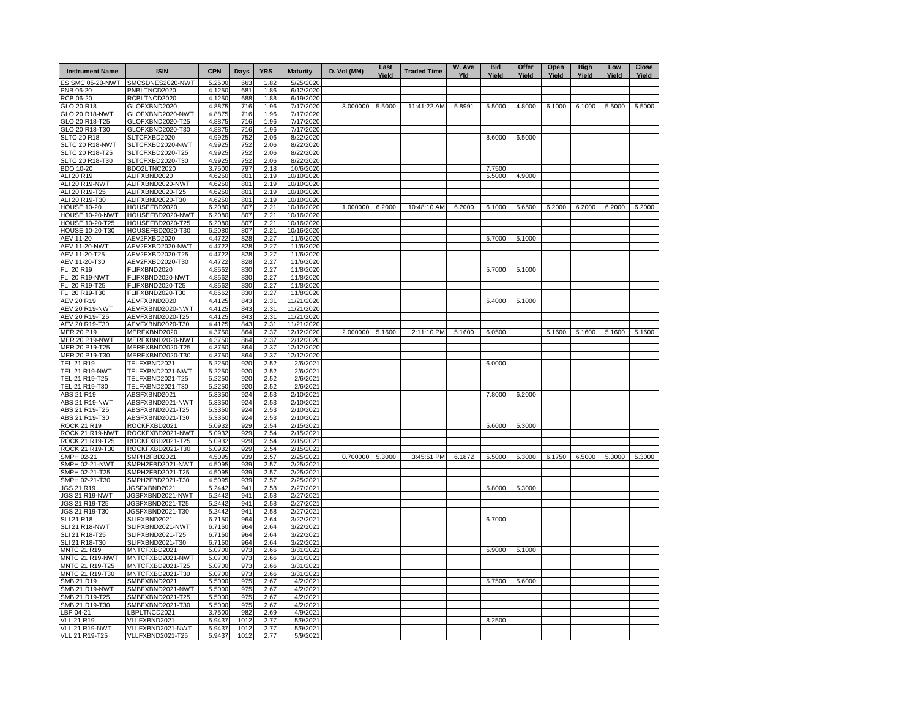| <b>Instrument Name</b>              | <b>ISIN</b>                          | <b>CPN</b>       | Days       | <b>YRS</b>   | <b>Maturity</b>        | D. Vol (MM) | Last<br>Yield | <b>Traded Time</b> | W. Ave<br>Yld | <b>Bid</b><br>Yield | Offer<br>Yield | Open<br>Yield | High<br>Yield | Low<br>Yield | <b>Close</b><br>Yield |
|-------------------------------------|--------------------------------------|------------------|------------|--------------|------------------------|-------------|---------------|--------------------|---------------|---------------------|----------------|---------------|---------------|--------------|-----------------------|
| ES SMC 05-20-NWT                    | SMCSDNES2020-NWT                     | 5.2500           | 663        | 1.82         | 5/25/2020              |             |               |                    |               |                     |                |               |               |              |                       |
| PNB 06-20                           | PNBLTNCD2020                         | 4.1250           | 681        | 1.86         | 6/12/2020              |             |               |                    |               |                     |                |               |               |              |                       |
| <b>RCB 06-20</b>                    | RCBLTNCD2020                         | 4.1250           | 688        | 1.88         | 6/19/2020              |             |               |                    |               |                     |                |               |               |              |                       |
| GLO 20 R18                          | GLOFXBND2020                         | 4.8875           | 716        | 1.96         | 7/17/2020              | 3.000000    | 5.5000        | 11:41:22 AM        | 5.8991        | 5.5000              | 4.8000         | 6.1000        | 6.1000        | 5.5000       | 5.5000                |
| GLO 20 R18-NWT<br>GLO 20 R18-T25    | GLOFXBND2020-NWT<br>GLOFXBND2020-T25 | 4.8875<br>4.8875 | 716<br>716 | 1.96<br>1.96 | 7/17/2020<br>7/17/2020 |             |               |                    |               |                     |                |               |               |              |                       |
| GLO 20 R18-T30                      | GLOFXBND2020-T30                     | 4.8875           | 716        | 1.96         | 7/17/2020              |             |               |                    |               |                     |                |               |               |              |                       |
| <b>SLTC 20 R18</b>                  | SLTCFXBD2020                         | 4.9925           | 752        | 2.06         | 8/22/2020              |             |               |                    |               | 8.6000              | 6.5000         |               |               |              |                       |
| SLTC 20 R18-NWT                     | SLTCFXBD2020-NWT                     | 4.9925           | 752        | 2.06         | 8/22/2020              |             |               |                    |               |                     |                |               |               |              |                       |
| SLTC 20 R18-T25                     | SLTCFXBD2020-T25                     | 4.9925           | 752        | 2.06         | 8/22/2020              |             |               |                    |               |                     |                |               |               |              |                       |
| SLTC 20 R18-T30                     | SLTCFXBD2020-T30                     | 4.9925           | 752        | 2.06         | 8/22/2020              |             |               |                    |               |                     |                |               |               |              |                       |
| BDO 10-20                           | BDO2LTNC2020                         | 3.7500           | 797        | 2.18         | 10/6/2020              |             |               |                    |               | 7.7500              |                |               |               |              |                       |
| ALI 20 R19                          | ALIFXBND2020                         | 4.6250           | 801        | 2.19         | 10/10/2020             |             |               |                    |               | 5.5000              | 4.9000         |               |               |              |                       |
| ALI 20 R19-NWT                      | ALIFXBND2020-NWT                     | 4.6250           | 801        | 2.19         | 10/10/2020             |             |               |                    |               |                     |                |               |               |              |                       |
| ALI 20 R19-T25                      | ALIFXBND2020-T25                     | 4.6250           | 801        | 2.19         | 10/10/2020             |             |               |                    |               |                     |                |               |               |              |                       |
| ALI 20 R19-T30                      | ALIFXBND2020-T30                     | 4.6250           | 801        | 2.19         | 10/10/2020             |             |               |                    |               |                     |                |               |               |              |                       |
| <b>HOUSE 10-20</b>                  | HOUSEFBD2020                         | 6.2080           | 807        | 2.21         | 10/16/2020             | 1.000000    | 6.2000        | 10:48:10 AM        | 6.2000        | 6.1000              | 5.6500         | 6.2000        | 6.2000        | 6.2000       | 6.2000                |
| HOUSE 10-20-NWT                     | HOUSEFBD2020-NWT                     | 6.2080           | 807        | 2.21         | 10/16/2020             |             |               |                    |               |                     |                |               |               |              |                       |
| <b>HOUSE 10-20-T25</b>              | HOUSEFBD2020-T25                     | 6.2080           | 807        | 2.21         | 10/16/2020             |             |               |                    |               |                     |                |               |               |              |                       |
| HOUSE 10-20-T30                     | HOUSEFBD2020-T30                     | 6.2080           | 807        | 2.21         | 10/16/2020             |             |               |                    |               |                     |                |               |               |              |                       |
| AEV 11-20<br><b>AEV 11-20-NWT</b>   | AEV2FXBD2020<br>AEV2FXBD2020-NWT     | 4.4722<br>4.4722 | 828<br>828 | 2.27<br>2.27 | 11/6/2020<br>11/6/2020 |             |               |                    |               | 5.7000              | 5.1000         |               |               |              |                       |
| AEV 11-20-T25                       | AEV2FXBD2020-T25                     | 4.472            | 828        | 2.27         | 11/6/2020              |             |               |                    |               |                     |                |               |               |              |                       |
| AEV 11-20-T30                       | AEV2FXBD2020-T30                     | 4.4722           | 828        | 2.27         | 11/6/2020              |             |               |                    |               |                     |                |               |               |              |                       |
| FLI 20 R19                          | FLIFXBND2020                         | 4.8562           | 830        | 2.27         | 11/8/2020              |             |               |                    |               | 5.7000              | 5.1000         |               |               |              |                       |
| <b>FLI 20 R19-NWT</b>               | FLIFXBND2020-NWT                     | 4.8562           | 830        | 2.27         | 11/8/2020              |             |               |                    |               |                     |                |               |               |              |                       |
| FLI 20 R19-T25                      | FLIFXBND2020-T25                     | 4.8562           | 830        | 2.27         | 11/8/2020              |             |               |                    |               |                     |                |               |               |              |                       |
| FLI 20 R19-T30                      | FLIFXBND2020-T30                     | 4.8562           | 830        | 2.27         | 11/8/2020              |             |               |                    |               |                     |                |               |               |              |                       |
| AEV 20 R19                          | AEVFXBND2020                         | 4.4125           | 843        | 2.31         | 11/21/2020             |             |               |                    |               | 5.4000              | 5.1000         |               |               |              |                       |
| AEV 20 R19-NWT                      | AEVFXBND2020-NWT                     | 4.4125           | 843        | 2.31         | 11/21/2020             |             |               |                    |               |                     |                |               |               |              |                       |
| AEV 20 R19-T25                      | AEVFXBND2020-T25                     | 4.4125           | 843        | 2.31         | 11/21/2020             |             |               |                    |               |                     |                |               |               |              |                       |
| AEV 20 R19-T30                      | AEVFXBND2020-T30                     | 4.4125           | 843        | 2.31         | 11/21/2020             |             |               |                    |               |                     |                |               |               |              |                       |
| MER 20 P19                          | MERFXBND2020                         | 4.3750           | 864        | 2.37         | 12/12/2020             | 2.000000    | 5.1600        | 2:11:10 PM         | 5.1600        | 6.0500              |                | 5.1600        | 5.1600        | 5.1600       | 5.1600                |
| <b>MER 20 P19-NWT</b>               | MERFXBND2020-NWT                     | 4.3750           | 864        | 2.37         | 12/12/2020             |             |               |                    |               |                     |                |               |               |              |                       |
| MER 20 P19-T25                      | MERFXBND2020-T25                     | 4.3750           | 864        | 2.37         | 12/12/2020             |             |               |                    |               |                     |                |               |               |              |                       |
| MER 20 P19-T30<br><b>TEL 21 R19</b> | MERFXBND2020-T30<br>TELFXBND2021     | 4.3750<br>5.2250 | 864<br>920 | 2.37<br>2.52 | 12/12/2020<br>2/6/2021 |             |               |                    |               | 6.0000              |                |               |               |              |                       |
| <b>TEL 21 R19-NWT</b>               | TELFXBND2021-NWT                     | 5.2250           | 920        | 2.52         | 2/6/2021               |             |               |                    |               |                     |                |               |               |              |                       |
| TEL 21 R19-T25                      | TELFXBND2021-T25                     | 5.2250           | 920        | 2.52         | 2/6/2021               |             |               |                    |               |                     |                |               |               |              |                       |
| TEL 21 R19-T30                      | TELFXBND2021-T30                     | 5.2250           | 920        | 2.52         | 2/6/2021               |             |               |                    |               |                     |                |               |               |              |                       |
| ABS 21 R19                          | ABSFXBND2021                         | 5.3350           | 924        | 2.53         | 2/10/2021              |             |               |                    |               | 7.8000              | 6.2000         |               |               |              |                       |
| ABS 21 R19-NWT                      | ABSFXBND2021-NWT                     | 5.3350           | 924        | 2.53         | 2/10/2021              |             |               |                    |               |                     |                |               |               |              |                       |
| ABS 21 R19-T25                      | ABSFXBND2021-T25                     | 5.3350           | 924        | 2.53         | 2/10/2021              |             |               |                    |               |                     |                |               |               |              |                       |
| ABS 21 R19-T30                      | ABSFXBND2021-T30                     | 5.3350           | 924        | 2.53         | 2/10/2021              |             |               |                    |               |                     |                |               |               |              |                       |
| ROCK 21 R19                         | ROCKFXBD2021                         | 5.0932           | 929        | 2.54         | 2/15/2021              |             |               |                    |               | 5.6000              | 5.3000         |               |               |              |                       |
| ROCK 21 R19-NWT                     | ROCKFXBD2021-NWT                     | 5.0932           | 929        | 2.54         | 2/15/2021              |             |               |                    |               |                     |                |               |               |              |                       |
| ROCK 21 R19-T25                     | ROCKFXBD2021-T25                     | 5.0932           | 929        | 2.54         | 2/15/2021              |             |               |                    |               |                     |                |               |               |              |                       |
| ROCK 21 R19-T30                     | ROCKFXBD2021-T30                     | 5.0932           | 929        | 2.54         | 2/15/2021              |             |               |                    |               |                     |                |               |               |              |                       |
| SMPH 02-21                          | SMPH2FBD2021                         | 4.5095           | 939        | 2.57         | 2/25/2021              | 0.700000    | 5.3000        | 3:45:51 PM         | 6.1872        | 5.5000              | 5.3000         | 6.1750        | 6.5000        | 5.3000       | 5.3000                |
| SMPH 02-21-NWT<br>SMPH 02-21-T25    | SMPH2FBD2021-NWT<br>SMPH2FBD2021-T25 | 4.5095<br>4.509  | 939<br>939 | 2.57<br>2.57 | 2/25/2021<br>2/25/2021 |             |               |                    |               |                     |                |               |               |              |                       |
| SMPH 02-21-T30                      | SMPH2FBD2021-T30                     | 4.509            | 939        | 2.57         | 2/25/2021              |             |               |                    |               |                     |                |               |               |              |                       |
| <b>JGS 21 R19</b>                   | JGSFXBND2021                         | 5.2442           | 941        | 2.58         | 2/27/2021              |             |               |                    |               | 5.8000              | 5.3000         |               |               |              |                       |
| <b>JGS 21 R19-NWT</b>               | JGSFXBND2021-NWT                     | 5.2442           | 941        | 2.58         | 2/27/2021              |             |               |                    |               |                     |                |               |               |              |                       |
| JGS 21 R19-T25                      | JGSFXBND2021-T25                     | 5.2442           | 941        | 2.58         | 2/27/2021              |             |               |                    |               |                     |                |               |               |              |                       |
| JGS 21 R19-T30                      | JGSFXBND2021-T30                     | 5.2442           | 941        | 2.58         | 2/27/2021              |             |               |                    |               |                     |                |               |               |              |                       |
| <b>SLI 21 R18</b>                   | SLIFXBND2021                         | 6.7150           | 964        | 2.64         | 3/22/2021              |             |               |                    |               | 6.7000              |                |               |               |              |                       |
| <b>SLI 21 R18-NWT</b>               | SLIFXBND2021-NWT                     | 6.7150           | 964        | 2.64         | 3/22/2021              |             |               |                    |               |                     |                |               |               |              |                       |
| SLI 21 R18-T25                      | SLIFXBND2021-T25                     | 6.7150           | 964        | 2.64         | 3/22/2021              |             |               |                    |               |                     |                |               |               |              |                       |
| SLI 21 R18-T30                      | SLIFXBND2021-T30                     | 6.7150           | 964        | 2.64         | 3/22/2021              |             |               |                    |               |                     |                |               |               |              |                       |
| <b>MNTC 21 R19</b>                  | MNTCFXBD2021                         | 5.0700           | 973        | 2.66         | 3/31/2021              |             |               |                    |               | 5.9000              | 5.1000         |               |               |              |                       |
| MNTC 21 R19-NWT<br>MNTC 21 R19-T25  | MNTCFXBD2021-NWT<br>MNTCFXBD2021-T25 | 5.0700<br>5.0700 | 973<br>973 | 2.66<br>2.66 | 3/31/2021<br>3/31/2021 |             |               |                    |               |                     |                |               |               |              |                       |
| MNTC 21 R19-T30                     | MNTCFXBD2021-T30                     | 5.0700           | 973        | 2.66         | 3/31/2021              |             |               |                    |               |                     |                |               |               |              |                       |
| SMB 21 R19                          | SMBFXBND2021                         | 5.5000           | 975        | 2.67         | 4/2/2021               |             |               |                    |               | 5.7500              | 5.6000         |               |               |              |                       |
| <b>SMB 21 R19-NWT</b>               | SMBFXBND2021-NWT                     | 5.5000           | 975        | 2.67         | 4/2/2021               |             |               |                    |               |                     |                |               |               |              |                       |
| SMB 21 R19-T25                      | SMBFXBND2021-T25                     | 5.5000           | 975        | 2.67         | 4/2/2021               |             |               |                    |               |                     |                |               |               |              |                       |
| SMB 21 R19-T30                      | SMBFXBND2021-T30                     | 5.5000           | 975        | 2.67         | 4/2/2021               |             |               |                    |               |                     |                |               |               |              |                       |
| LBP 04-21                           | LBPLTNCD2021                         | 3.7500           | 982        | 2.69         | 4/9/2021               |             |               |                    |               |                     |                |               |               |              |                       |
| <b>VLL 21 R19</b>                   | VLLFXBND2021                         | 5.9437           | 1012       | 2.77         | 5/9/2021               |             |               |                    |               | 8.2500              |                |               |               |              |                       |
| VLL 21 R19-NWT                      | VLLFXBND2021-NWT                     | 5.9437           | 1012       | 2.77         | 5/9/2021               |             |               |                    |               |                     |                |               |               |              |                       |
| VLL 21 R19-T25                      | VLLFXBND2021-T25                     | 5.9437           | 1012       | 2.77         | 5/9/2021               |             |               |                    |               |                     |                |               |               |              |                       |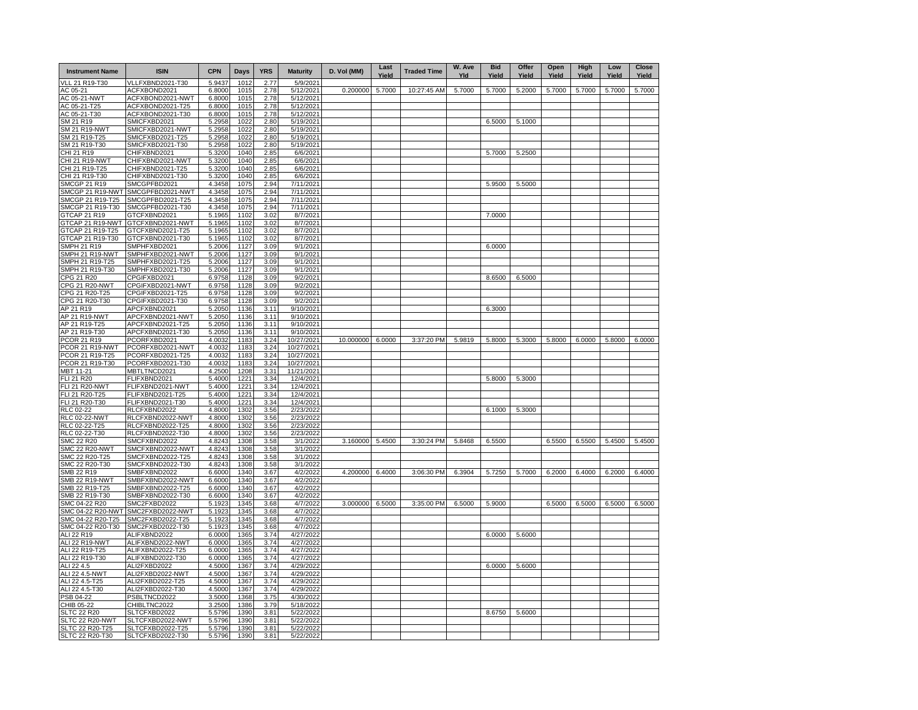| VLL 21 R19-T30<br>0.200000<br>5.7000<br>5.7000<br>5.7000<br>5.2000<br>5.7000<br>5.7000<br>5.7000<br>5.7000<br>AC 05-21<br>ACFXBOND2021<br>6.8000<br>1015<br>2.78<br>5/12/2021<br>10:27:45 AM<br>AC 05-21-NWT<br>ACFXBOND2021-NWT<br>6.8000<br>1015<br>2.78<br>5/12/2021<br>AC 05-21-T25<br>ACFXBOND2021-T25<br>6.8000<br>1015<br>2.78<br>5/12/2021<br>AC 05-21-T30<br>ACFXBOND2021-T30<br>6.8000<br>1015<br>2.78<br>5/12/2021<br>SM 21 R19<br>SMICFXBD2021<br>5.2958<br>1022<br>2.80<br>5/19/2021<br>6.5000<br>5.1000<br><b>SM 21 R19-NWT</b><br>SMICFXBD2021-NWT<br>5.2958<br>1022<br>2.80<br>5/19/2021<br>SM 21 R19-T25<br>SMICFXBD2021-T25<br>5.2958<br>1022<br>2.80<br>5/19/2021<br>SM 21 R19-T30<br>SMICFXBD2021-T30<br>5.2958<br>1022<br>2.80<br>5/19/2021<br>CHIFXBND2021<br>5.3200<br>1040<br>5.7000<br>CHI 21 R19<br>2.85<br>6/6/2021<br>5.2500<br>CHIFXBND2021-NWT<br>5.3200<br>1040<br>2.85<br>6/6/2021<br><b>CHI 21 R19-NWT</b><br>CHIFXBND2021-T25<br>5.3200<br>1040<br>2.85<br>6/6/2021<br>CHI 21 R19-T25<br>CHIFXBND2021-T30<br>5.3200<br>1040<br>2.85<br>CHI 21 R19-T30<br>6/6/2021<br>4.3458<br>1075<br>2.94<br>7/11/2021<br><b>SMCGP 21 R19</b><br>SMCGPFBD2021<br>5.9500<br>5.5000<br>SMCGP 21 R19-NWT<br>SMCGPFBD2021-NWT<br>4.3458<br>1075<br>2.94<br>7/11/2021<br>2.94<br>4.3458<br>1075<br>SMCGP 21 R19-T25<br>SMCGPFBD2021-T25<br>7/11/2021<br>4.3458<br>2.94<br>SMCGP 21 R19-T30<br>SMCGPFBD2021-T30<br>1075<br>7/11/2021<br>GTCAP 21 R19<br>GTCFXBND2021<br>5.1965<br>1102<br>3.02<br>8/7/2021<br>7.0000<br>GTCAP 21 R19-NWT<br>GTCFXBND2021-NWT<br>5.1965<br>1102<br>3.02<br>8/7/2021<br>GTCAP 21 R19-T25<br>5.1965<br>1102<br>GTCFXBND2021-T25<br>3.02<br>8/7/2021<br>GTCAP 21 R19-T30<br>GTCFXBND2021-T30<br>5.1965<br>1102<br>3.02<br>8/7/2021<br>6.0000<br>SMPH 21 R19<br>SMPHFXBD2021<br>5.2006<br>1127<br>3.09<br>9/1/2021<br>SMPH 21 R19-NWT<br>SMPHFXBD2021-NWT<br>5.2006<br>1127<br>3.09<br>9/1/2021<br>SMPH 21 R19-T25<br>SMPHFXBD2021-T25<br>5.2006<br>1127<br>3.09<br>9/1/2021<br>SMPH 21 R19-T30<br>SMPHFXBD2021-T30<br>5.2006<br>1127<br>3.09<br>9/1/2021<br>CPG 21 R20<br>CPGIFXBD2021<br>6.9758<br>1128<br>9/2/2021<br>8.6500<br>6.5000<br>3.09<br>CPG 21 R20-NWT<br>CPGIFXBD2021-NWT<br>6.9758<br>1128<br>3.09<br>9/2/2021<br>CPGIFXBD2021-T25<br>6.9758<br>1128<br>CPG 21 R20-T25<br>3.09<br>9/2/2021<br>CPG 21 R20-T30<br>CPGIFXBD2021-T30<br>6.9758<br>1128<br>3.09<br>9/2/2021<br>AP 21 R19<br>APCFXBND2021<br>5.2050<br>1136<br>3.11<br>9/10/2021<br>6.3000<br>AP 21 R19-NWT<br>APCFXBND2021-NWT<br>5.2050<br>1136<br>3.11<br>9/10/2021<br>APCFXBND2021-T25<br>5.2050<br>AP 21 R19-T25<br>1136<br>3.11<br>9/10/2021<br>AP 21 R19-T30<br>APCFXBND2021-T30<br>5.2050<br>1136<br>3.11<br>9/10/2021<br>10.000000<br>6.0000<br>3:37:20 PM<br>5.9819<br>5.8000<br>5.3000<br>5.8000<br>6.0000<br>5.8000<br>6.0000<br>PCOR 21 R19<br>PCORFXBD2021<br>4.0032<br>1183<br>3.24<br>10/27/2021<br>PCOR 21 R19-NWT<br>PCORFXBD2021-NWT<br>4.0032<br>1183<br>3.24<br>10/27/2021<br>PCOR 21 R19-T25<br>PCORFXBD2021-T25<br>4.0032<br>1183<br>3.24<br>10/27/2021<br>PCOR 21 R19-T30<br>PCORFXBD2021-T30<br>4.0032<br>1183<br>3.24<br>10/27/2021<br>MBTLTNCD2021<br>1208<br>11/21/2021<br>MBT 11-21<br>4.2500<br>3.31<br>FLIFXBND2021<br>5.4000<br>1221<br>5.8000<br>FLI 21 R20<br>12/4/2021<br>5.3000<br>3.34<br>FLIFXBND2021-NWT<br>1221<br><b>FLI 21 R20-NWT</b><br>5.4000<br>3.34<br>12/4/2021<br>FLI 21 R20-T25<br>FLIFXBND2021-T25<br>5.4000<br>1221<br>12/4/2021<br>3.34<br>FLI 21 R20-T30<br>FLIFXBND2021-T30<br>5.4000<br>1221<br>12/4/2021<br>3.34<br>6.1000<br>RLC 02-22<br>RLCFXBND2022<br>4.8000<br>1302<br>2/23/2022<br>5.3000<br>3.56<br><b>RLC 02-22-NWT</b><br>RLCFXBND2022-NWT<br>4.8000<br>1302<br>2/23/2022<br>3.56<br>RLCFXBND2022-T25<br>RLC 02-22-T25<br>4.8000<br>1302<br>3.56<br>2/23/2022<br>RLC 02-22-T30<br>RLCFXBND2022-T30<br>4.8000<br>1302<br>3.56<br>2/23/2022<br>3:30:24 PM<br>5.4500<br><b>SMC 22 R20</b><br>SMCFXBND2022<br>4.8243<br>1308<br>3/1/2022<br>3.160000 5.4500<br>5.8468<br>6.5500<br>6.5500<br>6.5500<br>5.4500<br>3.58<br><b>SMC 22 R20-NWT</b><br>SMCFXBND2022-NWT<br>4.8243<br>1308<br>3.58<br>3/1/2022<br>SMC 22 R20-T25<br>SMCFXBND2022-T25<br>4.8243<br>1308<br>3.58<br>3/1/2022<br>SMC 22 R20-T30<br>SMCFXBND2022-T30<br>4.8243<br>1308<br>3.58<br>3/1/2022<br>4.200000<br>3:06:30 PM<br>6.3904<br>5.7250<br>5.7000<br>6.2000<br>SMB 22 R19<br>SMBFXBND2022<br>6.6000<br>1340<br>3.67<br>4/2/2022<br>6.4000<br>6.2000<br>6.4000<br>6.4000<br><b>SMB 22 R19-NWT</b><br>SMBFXBND2022-NWT<br>6.6000<br>1340<br>3.67<br>4/2/2022<br>SMB 22 R19-T25<br>SMBFXBND2022-T25<br>6.6000<br>1340<br>3.67<br>4/2/2022<br>SMB 22 R19-T30<br>SMBFXBND2022-T30<br>6.6000<br>1340<br>3.67<br>4/2/2022<br>SMC 04-22 R20<br>SMC2FXBD2022<br>5.1923<br>1345<br>4/7/2022<br>3.000000<br>6.5000<br>3:35:00 PM<br>6.5000<br>5.9000<br>6.5000<br>6.5000<br>6.5000<br>6.5000<br>3.68<br>SMC 04-22 R20-NWT<br>SMC2FXBD2022-NWT<br>1345<br>4/7/2022<br>5.1923<br>3.68<br>SMC 04-22 R20-T25<br>SMC2FXBD2022-T25<br>1345<br>5.1923<br>3.68<br>4/7/2022<br>SMC 04-22 R20-T30<br>SMC2FXBD2022-T30<br>5.1923<br>1345<br>3.68<br>4/7/2022<br>1365<br>4/27/2022<br>6.0000<br>ALI 22 R19<br>ALIFXBND2022<br>6.0000<br>3.74<br>5.6000<br><b>ALI 22 R19-NWT</b><br>ALIFXBND2022-NWT<br>1365<br>3.74<br>4/27/2022<br>6.0000<br>ALI 22 R19-T25<br>ALIFXBND2022-T25<br>4/27/2022<br>6.0000<br>1365<br>3.74<br>ALI 22 R19-T30<br>ALIFXBND2022-T30<br>6.0000<br>1365<br>3.74<br>4/27/2022<br>ALI 22 4.5<br>ALI2FXBD2022<br>4.5000<br>1367<br>3.74<br>4/29/2022<br>6.0000<br>5.6000<br>ALI 22 4.5-NWT<br>ALI2FXBD2022-NWT<br>4.5000<br>1367<br>3.74<br>4/29/2022<br>ALI 22 4.5-T25<br>ALI2FXBD2022-T25<br>4.5000<br>1367<br>3.74<br>4/29/2022<br>ALI 22 4.5-T30<br>ALI2FXBD2022-T30<br>4.5000<br>1367<br>3.74<br>4/29/2022<br>3.5000<br>1368<br>3.75<br>4/30/2022<br>PSB 04-22<br>PSBLTNCD2022<br>1386<br>CHIB 05-22<br>CHIBLTNC2022<br>3.2500<br>3.79<br>5/18/2022<br>1390<br>8.6750<br><b>SLTC 22 R20</b><br>SLTCFXBD2022<br>5.5796<br>3.81<br>5/22/2022<br>5.6000<br>1390<br>SLTCFXBD2022-NWT<br>5.5796<br>3.81<br>5/22/2022<br>SLTC 22 R20-NWT<br>1390<br>SLTC 22 R20-T25<br>SLTCFXBD2022-T25<br>5.5796<br>3.81<br>5/22/2022 | <b>Instrument Name</b> | <b>ISIN</b>      | <b>CPN</b> | Days | <b>YRS</b> | <b>Maturity</b> | D. Vol (MM) | Last<br>Yield | <b>Traded Time</b> | W. Ave<br>Yld | <b>Bid</b><br>Yield | Offer<br>Yield | Open<br>Yield | High<br>Yield | Low<br>Yield | <b>Close</b><br>Yield |
|-----------------------------------------------------------------------------------------------------------------------------------------------------------------------------------------------------------------------------------------------------------------------------------------------------------------------------------------------------------------------------------------------------------------------------------------------------------------------------------------------------------------------------------------------------------------------------------------------------------------------------------------------------------------------------------------------------------------------------------------------------------------------------------------------------------------------------------------------------------------------------------------------------------------------------------------------------------------------------------------------------------------------------------------------------------------------------------------------------------------------------------------------------------------------------------------------------------------------------------------------------------------------------------------------------------------------------------------------------------------------------------------------------------------------------------------------------------------------------------------------------------------------------------------------------------------------------------------------------------------------------------------------------------------------------------------------------------------------------------------------------------------------------------------------------------------------------------------------------------------------------------------------------------------------------------------------------------------------------------------------------------------------------------------------------------------------------------------------------------------------------------------------------------------------------------------------------------------------------------------------------------------------------------------------------------------------------------------------------------------------------------------------------------------------------------------------------------------------------------------------------------------------------------------------------------------------------------------------------------------------------------------------------------------------------------------------------------------------------------------------------------------------------------------------------------------------------------------------------------------------------------------------------------------------------------------------------------------------------------------------------------------------------------------------------------------------------------------------------------------------------------------------------------------------------------------------------------------------------------------------------------------------------------------------------------------------------------------------------------------------------------------------------------------------------------------------------------------------------------------------------------------------------------------------------------------------------------------------------------------------------------------------------------------------------------------------------------------------------------------------------------------------------------------------------------------------------------------------------------------------------------------------------------------------------------------------------------------------------------------------------------------------------------------------------------------------------------------------------------------------------------------------------------------------------------------------------------------------------------------------------------------------------------------------------------------------------------------------------------------------------------------------------------------------------------------------------------------------------------------------------------------------------------------------------------------------------------------------------------------------------------------------------------------------------------------------------------------------------------------------------------------------------------------------------------------------------------------------------------------------------------------------------------------------------------------------------------------------------------------------------------------------------------------------------------------------------------------------------------------------------------------------------------------------------------------------------------------------------------------------------------------------------------------------------------------------------------------------------------------------------------------------------------------------------------------------------------------------------------------------------------------------------------------------------------------------------------------------------------------------------------------------------------------------------------------------------------------------------------------------------------------------------------------------------------------------------------------------------------------------------------------------------------------------------------------------------------------------------------------------------------------------------------------------------------------------------------------------------------------------------------------------------------------------------------------------------------------------------------------------------------------------------|------------------------|------------------|------------|------|------------|-----------------|-------------|---------------|--------------------|---------------|---------------------|----------------|---------------|---------------|--------------|-----------------------|
|                                                                                                                                                                                                                                                                                                                                                                                                                                                                                                                                                                                                                                                                                                                                                                                                                                                                                                                                                                                                                                                                                                                                                                                                                                                                                                                                                                                                                                                                                                                                                                                                                                                                                                                                                                                                                                                                                                                                                                                                                                                                                                                                                                                                                                                                                                                                                                                                                                                                                                                                                                                                                                                                                                                                                                                                                                                                                                                                                                                                                                                                                                                                                                                                                                                                                                                                                                                                                                                                                                                                                                                                                                                                                                                                                                                                                                                                                                                                                                                                                                                                                                                                                                                                                                                                                                                                                                                                                                                                                                                                                                                                                                                                                                                                                                                                                                                                                                                                                                                                                                                                                                                                                                                                                                                                                                                                                                                                                                                                                                                                                                                                                                                                                                                                                                                                                                                                                                                                                                                                                                                                                                                                                                                                                                                                             |                        | VLLFXBND2021-T30 | 5.9437     | 1012 | 2.77       | 5/9/2021        |             |               |                    |               |                     |                |               |               |              |                       |
|                                                                                                                                                                                                                                                                                                                                                                                                                                                                                                                                                                                                                                                                                                                                                                                                                                                                                                                                                                                                                                                                                                                                                                                                                                                                                                                                                                                                                                                                                                                                                                                                                                                                                                                                                                                                                                                                                                                                                                                                                                                                                                                                                                                                                                                                                                                                                                                                                                                                                                                                                                                                                                                                                                                                                                                                                                                                                                                                                                                                                                                                                                                                                                                                                                                                                                                                                                                                                                                                                                                                                                                                                                                                                                                                                                                                                                                                                                                                                                                                                                                                                                                                                                                                                                                                                                                                                                                                                                                                                                                                                                                                                                                                                                                                                                                                                                                                                                                                                                                                                                                                                                                                                                                                                                                                                                                                                                                                                                                                                                                                                                                                                                                                                                                                                                                                                                                                                                                                                                                                                                                                                                                                                                                                                                                                             |                        |                  |            |      |            |                 |             |               |                    |               |                     |                |               |               |              |                       |
|                                                                                                                                                                                                                                                                                                                                                                                                                                                                                                                                                                                                                                                                                                                                                                                                                                                                                                                                                                                                                                                                                                                                                                                                                                                                                                                                                                                                                                                                                                                                                                                                                                                                                                                                                                                                                                                                                                                                                                                                                                                                                                                                                                                                                                                                                                                                                                                                                                                                                                                                                                                                                                                                                                                                                                                                                                                                                                                                                                                                                                                                                                                                                                                                                                                                                                                                                                                                                                                                                                                                                                                                                                                                                                                                                                                                                                                                                                                                                                                                                                                                                                                                                                                                                                                                                                                                                                                                                                                                                                                                                                                                                                                                                                                                                                                                                                                                                                                                                                                                                                                                                                                                                                                                                                                                                                                                                                                                                                                                                                                                                                                                                                                                                                                                                                                                                                                                                                                                                                                                                                                                                                                                                                                                                                                                             |                        |                  |            |      |            |                 |             |               |                    |               |                     |                |               |               |              |                       |
|                                                                                                                                                                                                                                                                                                                                                                                                                                                                                                                                                                                                                                                                                                                                                                                                                                                                                                                                                                                                                                                                                                                                                                                                                                                                                                                                                                                                                                                                                                                                                                                                                                                                                                                                                                                                                                                                                                                                                                                                                                                                                                                                                                                                                                                                                                                                                                                                                                                                                                                                                                                                                                                                                                                                                                                                                                                                                                                                                                                                                                                                                                                                                                                                                                                                                                                                                                                                                                                                                                                                                                                                                                                                                                                                                                                                                                                                                                                                                                                                                                                                                                                                                                                                                                                                                                                                                                                                                                                                                                                                                                                                                                                                                                                                                                                                                                                                                                                                                                                                                                                                                                                                                                                                                                                                                                                                                                                                                                                                                                                                                                                                                                                                                                                                                                                                                                                                                                                                                                                                                                                                                                                                                                                                                                                                             |                        |                  |            |      |            |                 |             |               |                    |               |                     |                |               |               |              |                       |
|                                                                                                                                                                                                                                                                                                                                                                                                                                                                                                                                                                                                                                                                                                                                                                                                                                                                                                                                                                                                                                                                                                                                                                                                                                                                                                                                                                                                                                                                                                                                                                                                                                                                                                                                                                                                                                                                                                                                                                                                                                                                                                                                                                                                                                                                                                                                                                                                                                                                                                                                                                                                                                                                                                                                                                                                                                                                                                                                                                                                                                                                                                                                                                                                                                                                                                                                                                                                                                                                                                                                                                                                                                                                                                                                                                                                                                                                                                                                                                                                                                                                                                                                                                                                                                                                                                                                                                                                                                                                                                                                                                                                                                                                                                                                                                                                                                                                                                                                                                                                                                                                                                                                                                                                                                                                                                                                                                                                                                                                                                                                                                                                                                                                                                                                                                                                                                                                                                                                                                                                                                                                                                                                                                                                                                                                             |                        |                  |            |      |            |                 |             |               |                    |               |                     |                |               |               |              |                       |
|                                                                                                                                                                                                                                                                                                                                                                                                                                                                                                                                                                                                                                                                                                                                                                                                                                                                                                                                                                                                                                                                                                                                                                                                                                                                                                                                                                                                                                                                                                                                                                                                                                                                                                                                                                                                                                                                                                                                                                                                                                                                                                                                                                                                                                                                                                                                                                                                                                                                                                                                                                                                                                                                                                                                                                                                                                                                                                                                                                                                                                                                                                                                                                                                                                                                                                                                                                                                                                                                                                                                                                                                                                                                                                                                                                                                                                                                                                                                                                                                                                                                                                                                                                                                                                                                                                                                                                                                                                                                                                                                                                                                                                                                                                                                                                                                                                                                                                                                                                                                                                                                                                                                                                                                                                                                                                                                                                                                                                                                                                                                                                                                                                                                                                                                                                                                                                                                                                                                                                                                                                                                                                                                                                                                                                                                             |                        |                  |            |      |            |                 |             |               |                    |               |                     |                |               |               |              |                       |
|                                                                                                                                                                                                                                                                                                                                                                                                                                                                                                                                                                                                                                                                                                                                                                                                                                                                                                                                                                                                                                                                                                                                                                                                                                                                                                                                                                                                                                                                                                                                                                                                                                                                                                                                                                                                                                                                                                                                                                                                                                                                                                                                                                                                                                                                                                                                                                                                                                                                                                                                                                                                                                                                                                                                                                                                                                                                                                                                                                                                                                                                                                                                                                                                                                                                                                                                                                                                                                                                                                                                                                                                                                                                                                                                                                                                                                                                                                                                                                                                                                                                                                                                                                                                                                                                                                                                                                                                                                                                                                                                                                                                                                                                                                                                                                                                                                                                                                                                                                                                                                                                                                                                                                                                                                                                                                                                                                                                                                                                                                                                                                                                                                                                                                                                                                                                                                                                                                                                                                                                                                                                                                                                                                                                                                                                             |                        |                  |            |      |            |                 |             |               |                    |               |                     |                |               |               |              |                       |
|                                                                                                                                                                                                                                                                                                                                                                                                                                                                                                                                                                                                                                                                                                                                                                                                                                                                                                                                                                                                                                                                                                                                                                                                                                                                                                                                                                                                                                                                                                                                                                                                                                                                                                                                                                                                                                                                                                                                                                                                                                                                                                                                                                                                                                                                                                                                                                                                                                                                                                                                                                                                                                                                                                                                                                                                                                                                                                                                                                                                                                                                                                                                                                                                                                                                                                                                                                                                                                                                                                                                                                                                                                                                                                                                                                                                                                                                                                                                                                                                                                                                                                                                                                                                                                                                                                                                                                                                                                                                                                                                                                                                                                                                                                                                                                                                                                                                                                                                                                                                                                                                                                                                                                                                                                                                                                                                                                                                                                                                                                                                                                                                                                                                                                                                                                                                                                                                                                                                                                                                                                                                                                                                                                                                                                                                             |                        |                  |            |      |            |                 |             |               |                    |               |                     |                |               |               |              |                       |
|                                                                                                                                                                                                                                                                                                                                                                                                                                                                                                                                                                                                                                                                                                                                                                                                                                                                                                                                                                                                                                                                                                                                                                                                                                                                                                                                                                                                                                                                                                                                                                                                                                                                                                                                                                                                                                                                                                                                                                                                                                                                                                                                                                                                                                                                                                                                                                                                                                                                                                                                                                                                                                                                                                                                                                                                                                                                                                                                                                                                                                                                                                                                                                                                                                                                                                                                                                                                                                                                                                                                                                                                                                                                                                                                                                                                                                                                                                                                                                                                                                                                                                                                                                                                                                                                                                                                                                                                                                                                                                                                                                                                                                                                                                                                                                                                                                                                                                                                                                                                                                                                                                                                                                                                                                                                                                                                                                                                                                                                                                                                                                                                                                                                                                                                                                                                                                                                                                                                                                                                                                                                                                                                                                                                                                                                             |                        |                  |            |      |            |                 |             |               |                    |               |                     |                |               |               |              |                       |
|                                                                                                                                                                                                                                                                                                                                                                                                                                                                                                                                                                                                                                                                                                                                                                                                                                                                                                                                                                                                                                                                                                                                                                                                                                                                                                                                                                                                                                                                                                                                                                                                                                                                                                                                                                                                                                                                                                                                                                                                                                                                                                                                                                                                                                                                                                                                                                                                                                                                                                                                                                                                                                                                                                                                                                                                                                                                                                                                                                                                                                                                                                                                                                                                                                                                                                                                                                                                                                                                                                                                                                                                                                                                                                                                                                                                                                                                                                                                                                                                                                                                                                                                                                                                                                                                                                                                                                                                                                                                                                                                                                                                                                                                                                                                                                                                                                                                                                                                                                                                                                                                                                                                                                                                                                                                                                                                                                                                                                                                                                                                                                                                                                                                                                                                                                                                                                                                                                                                                                                                                                                                                                                                                                                                                                                                             |                        |                  |            |      |            |                 |             |               |                    |               |                     |                |               |               |              |                       |
|                                                                                                                                                                                                                                                                                                                                                                                                                                                                                                                                                                                                                                                                                                                                                                                                                                                                                                                                                                                                                                                                                                                                                                                                                                                                                                                                                                                                                                                                                                                                                                                                                                                                                                                                                                                                                                                                                                                                                                                                                                                                                                                                                                                                                                                                                                                                                                                                                                                                                                                                                                                                                                                                                                                                                                                                                                                                                                                                                                                                                                                                                                                                                                                                                                                                                                                                                                                                                                                                                                                                                                                                                                                                                                                                                                                                                                                                                                                                                                                                                                                                                                                                                                                                                                                                                                                                                                                                                                                                                                                                                                                                                                                                                                                                                                                                                                                                                                                                                                                                                                                                                                                                                                                                                                                                                                                                                                                                                                                                                                                                                                                                                                                                                                                                                                                                                                                                                                                                                                                                                                                                                                                                                                                                                                                                             |                        |                  |            |      |            |                 |             |               |                    |               |                     |                |               |               |              |                       |
|                                                                                                                                                                                                                                                                                                                                                                                                                                                                                                                                                                                                                                                                                                                                                                                                                                                                                                                                                                                                                                                                                                                                                                                                                                                                                                                                                                                                                                                                                                                                                                                                                                                                                                                                                                                                                                                                                                                                                                                                                                                                                                                                                                                                                                                                                                                                                                                                                                                                                                                                                                                                                                                                                                                                                                                                                                                                                                                                                                                                                                                                                                                                                                                                                                                                                                                                                                                                                                                                                                                                                                                                                                                                                                                                                                                                                                                                                                                                                                                                                                                                                                                                                                                                                                                                                                                                                                                                                                                                                                                                                                                                                                                                                                                                                                                                                                                                                                                                                                                                                                                                                                                                                                                                                                                                                                                                                                                                                                                                                                                                                                                                                                                                                                                                                                                                                                                                                                                                                                                                                                                                                                                                                                                                                                                                             |                        |                  |            |      |            |                 |             |               |                    |               |                     |                |               |               |              |                       |
|                                                                                                                                                                                                                                                                                                                                                                                                                                                                                                                                                                                                                                                                                                                                                                                                                                                                                                                                                                                                                                                                                                                                                                                                                                                                                                                                                                                                                                                                                                                                                                                                                                                                                                                                                                                                                                                                                                                                                                                                                                                                                                                                                                                                                                                                                                                                                                                                                                                                                                                                                                                                                                                                                                                                                                                                                                                                                                                                                                                                                                                                                                                                                                                                                                                                                                                                                                                                                                                                                                                                                                                                                                                                                                                                                                                                                                                                                                                                                                                                                                                                                                                                                                                                                                                                                                                                                                                                                                                                                                                                                                                                                                                                                                                                                                                                                                                                                                                                                                                                                                                                                                                                                                                                                                                                                                                                                                                                                                                                                                                                                                                                                                                                                                                                                                                                                                                                                                                                                                                                                                                                                                                                                                                                                                                                             |                        |                  |            |      |            |                 |             |               |                    |               |                     |                |               |               |              |                       |
|                                                                                                                                                                                                                                                                                                                                                                                                                                                                                                                                                                                                                                                                                                                                                                                                                                                                                                                                                                                                                                                                                                                                                                                                                                                                                                                                                                                                                                                                                                                                                                                                                                                                                                                                                                                                                                                                                                                                                                                                                                                                                                                                                                                                                                                                                                                                                                                                                                                                                                                                                                                                                                                                                                                                                                                                                                                                                                                                                                                                                                                                                                                                                                                                                                                                                                                                                                                                                                                                                                                                                                                                                                                                                                                                                                                                                                                                                                                                                                                                                                                                                                                                                                                                                                                                                                                                                                                                                                                                                                                                                                                                                                                                                                                                                                                                                                                                                                                                                                                                                                                                                                                                                                                                                                                                                                                                                                                                                                                                                                                                                                                                                                                                                                                                                                                                                                                                                                                                                                                                                                                                                                                                                                                                                                                                             |                        |                  |            |      |            |                 |             |               |                    |               |                     |                |               |               |              |                       |
|                                                                                                                                                                                                                                                                                                                                                                                                                                                                                                                                                                                                                                                                                                                                                                                                                                                                                                                                                                                                                                                                                                                                                                                                                                                                                                                                                                                                                                                                                                                                                                                                                                                                                                                                                                                                                                                                                                                                                                                                                                                                                                                                                                                                                                                                                                                                                                                                                                                                                                                                                                                                                                                                                                                                                                                                                                                                                                                                                                                                                                                                                                                                                                                                                                                                                                                                                                                                                                                                                                                                                                                                                                                                                                                                                                                                                                                                                                                                                                                                                                                                                                                                                                                                                                                                                                                                                                                                                                                                                                                                                                                                                                                                                                                                                                                                                                                                                                                                                                                                                                                                                                                                                                                                                                                                                                                                                                                                                                                                                                                                                                                                                                                                                                                                                                                                                                                                                                                                                                                                                                                                                                                                                                                                                                                                             |                        |                  |            |      |            |                 |             |               |                    |               |                     |                |               |               |              |                       |
|                                                                                                                                                                                                                                                                                                                                                                                                                                                                                                                                                                                                                                                                                                                                                                                                                                                                                                                                                                                                                                                                                                                                                                                                                                                                                                                                                                                                                                                                                                                                                                                                                                                                                                                                                                                                                                                                                                                                                                                                                                                                                                                                                                                                                                                                                                                                                                                                                                                                                                                                                                                                                                                                                                                                                                                                                                                                                                                                                                                                                                                                                                                                                                                                                                                                                                                                                                                                                                                                                                                                                                                                                                                                                                                                                                                                                                                                                                                                                                                                                                                                                                                                                                                                                                                                                                                                                                                                                                                                                                                                                                                                                                                                                                                                                                                                                                                                                                                                                                                                                                                                                                                                                                                                                                                                                                                                                                                                                                                                                                                                                                                                                                                                                                                                                                                                                                                                                                                                                                                                                                                                                                                                                                                                                                                                             |                        |                  |            |      |            |                 |             |               |                    |               |                     |                |               |               |              |                       |
|                                                                                                                                                                                                                                                                                                                                                                                                                                                                                                                                                                                                                                                                                                                                                                                                                                                                                                                                                                                                                                                                                                                                                                                                                                                                                                                                                                                                                                                                                                                                                                                                                                                                                                                                                                                                                                                                                                                                                                                                                                                                                                                                                                                                                                                                                                                                                                                                                                                                                                                                                                                                                                                                                                                                                                                                                                                                                                                                                                                                                                                                                                                                                                                                                                                                                                                                                                                                                                                                                                                                                                                                                                                                                                                                                                                                                                                                                                                                                                                                                                                                                                                                                                                                                                                                                                                                                                                                                                                                                                                                                                                                                                                                                                                                                                                                                                                                                                                                                                                                                                                                                                                                                                                                                                                                                                                                                                                                                                                                                                                                                                                                                                                                                                                                                                                                                                                                                                                                                                                                                                                                                                                                                                                                                                                                             |                        |                  |            |      |            |                 |             |               |                    |               |                     |                |               |               |              |                       |
|                                                                                                                                                                                                                                                                                                                                                                                                                                                                                                                                                                                                                                                                                                                                                                                                                                                                                                                                                                                                                                                                                                                                                                                                                                                                                                                                                                                                                                                                                                                                                                                                                                                                                                                                                                                                                                                                                                                                                                                                                                                                                                                                                                                                                                                                                                                                                                                                                                                                                                                                                                                                                                                                                                                                                                                                                                                                                                                                                                                                                                                                                                                                                                                                                                                                                                                                                                                                                                                                                                                                                                                                                                                                                                                                                                                                                                                                                                                                                                                                                                                                                                                                                                                                                                                                                                                                                                                                                                                                                                                                                                                                                                                                                                                                                                                                                                                                                                                                                                                                                                                                                                                                                                                                                                                                                                                                                                                                                                                                                                                                                                                                                                                                                                                                                                                                                                                                                                                                                                                                                                                                                                                                                                                                                                                                             |                        |                  |            |      |            |                 |             |               |                    |               |                     |                |               |               |              |                       |
|                                                                                                                                                                                                                                                                                                                                                                                                                                                                                                                                                                                                                                                                                                                                                                                                                                                                                                                                                                                                                                                                                                                                                                                                                                                                                                                                                                                                                                                                                                                                                                                                                                                                                                                                                                                                                                                                                                                                                                                                                                                                                                                                                                                                                                                                                                                                                                                                                                                                                                                                                                                                                                                                                                                                                                                                                                                                                                                                                                                                                                                                                                                                                                                                                                                                                                                                                                                                                                                                                                                                                                                                                                                                                                                                                                                                                                                                                                                                                                                                                                                                                                                                                                                                                                                                                                                                                                                                                                                                                                                                                                                                                                                                                                                                                                                                                                                                                                                                                                                                                                                                                                                                                                                                                                                                                                                                                                                                                                                                                                                                                                                                                                                                                                                                                                                                                                                                                                                                                                                                                                                                                                                                                                                                                                                                             |                        |                  |            |      |            |                 |             |               |                    |               |                     |                |               |               |              |                       |
|                                                                                                                                                                                                                                                                                                                                                                                                                                                                                                                                                                                                                                                                                                                                                                                                                                                                                                                                                                                                                                                                                                                                                                                                                                                                                                                                                                                                                                                                                                                                                                                                                                                                                                                                                                                                                                                                                                                                                                                                                                                                                                                                                                                                                                                                                                                                                                                                                                                                                                                                                                                                                                                                                                                                                                                                                                                                                                                                                                                                                                                                                                                                                                                                                                                                                                                                                                                                                                                                                                                                                                                                                                                                                                                                                                                                                                                                                                                                                                                                                                                                                                                                                                                                                                                                                                                                                                                                                                                                                                                                                                                                                                                                                                                                                                                                                                                                                                                                                                                                                                                                                                                                                                                                                                                                                                                                                                                                                                                                                                                                                                                                                                                                                                                                                                                                                                                                                                                                                                                                                                                                                                                                                                                                                                                                             |                        |                  |            |      |            |                 |             |               |                    |               |                     |                |               |               |              |                       |
|                                                                                                                                                                                                                                                                                                                                                                                                                                                                                                                                                                                                                                                                                                                                                                                                                                                                                                                                                                                                                                                                                                                                                                                                                                                                                                                                                                                                                                                                                                                                                                                                                                                                                                                                                                                                                                                                                                                                                                                                                                                                                                                                                                                                                                                                                                                                                                                                                                                                                                                                                                                                                                                                                                                                                                                                                                                                                                                                                                                                                                                                                                                                                                                                                                                                                                                                                                                                                                                                                                                                                                                                                                                                                                                                                                                                                                                                                                                                                                                                                                                                                                                                                                                                                                                                                                                                                                                                                                                                                                                                                                                                                                                                                                                                                                                                                                                                                                                                                                                                                                                                                                                                                                                                                                                                                                                                                                                                                                                                                                                                                                                                                                                                                                                                                                                                                                                                                                                                                                                                                                                                                                                                                                                                                                                                             |                        |                  |            |      |            |                 |             |               |                    |               |                     |                |               |               |              |                       |
|                                                                                                                                                                                                                                                                                                                                                                                                                                                                                                                                                                                                                                                                                                                                                                                                                                                                                                                                                                                                                                                                                                                                                                                                                                                                                                                                                                                                                                                                                                                                                                                                                                                                                                                                                                                                                                                                                                                                                                                                                                                                                                                                                                                                                                                                                                                                                                                                                                                                                                                                                                                                                                                                                                                                                                                                                                                                                                                                                                                                                                                                                                                                                                                                                                                                                                                                                                                                                                                                                                                                                                                                                                                                                                                                                                                                                                                                                                                                                                                                                                                                                                                                                                                                                                                                                                                                                                                                                                                                                                                                                                                                                                                                                                                                                                                                                                                                                                                                                                                                                                                                                                                                                                                                                                                                                                                                                                                                                                                                                                                                                                                                                                                                                                                                                                                                                                                                                                                                                                                                                                                                                                                                                                                                                                                                             |                        |                  |            |      |            |                 |             |               |                    |               |                     |                |               |               |              |                       |
|                                                                                                                                                                                                                                                                                                                                                                                                                                                                                                                                                                                                                                                                                                                                                                                                                                                                                                                                                                                                                                                                                                                                                                                                                                                                                                                                                                                                                                                                                                                                                                                                                                                                                                                                                                                                                                                                                                                                                                                                                                                                                                                                                                                                                                                                                                                                                                                                                                                                                                                                                                                                                                                                                                                                                                                                                                                                                                                                                                                                                                                                                                                                                                                                                                                                                                                                                                                                                                                                                                                                                                                                                                                                                                                                                                                                                                                                                                                                                                                                                                                                                                                                                                                                                                                                                                                                                                                                                                                                                                                                                                                                                                                                                                                                                                                                                                                                                                                                                                                                                                                                                                                                                                                                                                                                                                                                                                                                                                                                                                                                                                                                                                                                                                                                                                                                                                                                                                                                                                                                                                                                                                                                                                                                                                                                             |                        |                  |            |      |            |                 |             |               |                    |               |                     |                |               |               |              |                       |
|                                                                                                                                                                                                                                                                                                                                                                                                                                                                                                                                                                                                                                                                                                                                                                                                                                                                                                                                                                                                                                                                                                                                                                                                                                                                                                                                                                                                                                                                                                                                                                                                                                                                                                                                                                                                                                                                                                                                                                                                                                                                                                                                                                                                                                                                                                                                                                                                                                                                                                                                                                                                                                                                                                                                                                                                                                                                                                                                                                                                                                                                                                                                                                                                                                                                                                                                                                                                                                                                                                                                                                                                                                                                                                                                                                                                                                                                                                                                                                                                                                                                                                                                                                                                                                                                                                                                                                                                                                                                                                                                                                                                                                                                                                                                                                                                                                                                                                                                                                                                                                                                                                                                                                                                                                                                                                                                                                                                                                                                                                                                                                                                                                                                                                                                                                                                                                                                                                                                                                                                                                                                                                                                                                                                                                                                             |                        |                  |            |      |            |                 |             |               |                    |               |                     |                |               |               |              |                       |
|                                                                                                                                                                                                                                                                                                                                                                                                                                                                                                                                                                                                                                                                                                                                                                                                                                                                                                                                                                                                                                                                                                                                                                                                                                                                                                                                                                                                                                                                                                                                                                                                                                                                                                                                                                                                                                                                                                                                                                                                                                                                                                                                                                                                                                                                                                                                                                                                                                                                                                                                                                                                                                                                                                                                                                                                                                                                                                                                                                                                                                                                                                                                                                                                                                                                                                                                                                                                                                                                                                                                                                                                                                                                                                                                                                                                                                                                                                                                                                                                                                                                                                                                                                                                                                                                                                                                                                                                                                                                                                                                                                                                                                                                                                                                                                                                                                                                                                                                                                                                                                                                                                                                                                                                                                                                                                                                                                                                                                                                                                                                                                                                                                                                                                                                                                                                                                                                                                                                                                                                                                                                                                                                                                                                                                                                             |                        |                  |            |      |            |                 |             |               |                    |               |                     |                |               |               |              |                       |
|                                                                                                                                                                                                                                                                                                                                                                                                                                                                                                                                                                                                                                                                                                                                                                                                                                                                                                                                                                                                                                                                                                                                                                                                                                                                                                                                                                                                                                                                                                                                                                                                                                                                                                                                                                                                                                                                                                                                                                                                                                                                                                                                                                                                                                                                                                                                                                                                                                                                                                                                                                                                                                                                                                                                                                                                                                                                                                                                                                                                                                                                                                                                                                                                                                                                                                                                                                                                                                                                                                                                                                                                                                                                                                                                                                                                                                                                                                                                                                                                                                                                                                                                                                                                                                                                                                                                                                                                                                                                                                                                                                                                                                                                                                                                                                                                                                                                                                                                                                                                                                                                                                                                                                                                                                                                                                                                                                                                                                                                                                                                                                                                                                                                                                                                                                                                                                                                                                                                                                                                                                                                                                                                                                                                                                                                             |                        |                  |            |      |            |                 |             |               |                    |               |                     |                |               |               |              |                       |
|                                                                                                                                                                                                                                                                                                                                                                                                                                                                                                                                                                                                                                                                                                                                                                                                                                                                                                                                                                                                                                                                                                                                                                                                                                                                                                                                                                                                                                                                                                                                                                                                                                                                                                                                                                                                                                                                                                                                                                                                                                                                                                                                                                                                                                                                                                                                                                                                                                                                                                                                                                                                                                                                                                                                                                                                                                                                                                                                                                                                                                                                                                                                                                                                                                                                                                                                                                                                                                                                                                                                                                                                                                                                                                                                                                                                                                                                                                                                                                                                                                                                                                                                                                                                                                                                                                                                                                                                                                                                                                                                                                                                                                                                                                                                                                                                                                                                                                                                                                                                                                                                                                                                                                                                                                                                                                                                                                                                                                                                                                                                                                                                                                                                                                                                                                                                                                                                                                                                                                                                                                                                                                                                                                                                                                                                             |                        |                  |            |      |            |                 |             |               |                    |               |                     |                |               |               |              |                       |
|                                                                                                                                                                                                                                                                                                                                                                                                                                                                                                                                                                                                                                                                                                                                                                                                                                                                                                                                                                                                                                                                                                                                                                                                                                                                                                                                                                                                                                                                                                                                                                                                                                                                                                                                                                                                                                                                                                                                                                                                                                                                                                                                                                                                                                                                                                                                                                                                                                                                                                                                                                                                                                                                                                                                                                                                                                                                                                                                                                                                                                                                                                                                                                                                                                                                                                                                                                                                                                                                                                                                                                                                                                                                                                                                                                                                                                                                                                                                                                                                                                                                                                                                                                                                                                                                                                                                                                                                                                                                                                                                                                                                                                                                                                                                                                                                                                                                                                                                                                                                                                                                                                                                                                                                                                                                                                                                                                                                                                                                                                                                                                                                                                                                                                                                                                                                                                                                                                                                                                                                                                                                                                                                                                                                                                                                             |                        |                  |            |      |            |                 |             |               |                    |               |                     |                |               |               |              |                       |
|                                                                                                                                                                                                                                                                                                                                                                                                                                                                                                                                                                                                                                                                                                                                                                                                                                                                                                                                                                                                                                                                                                                                                                                                                                                                                                                                                                                                                                                                                                                                                                                                                                                                                                                                                                                                                                                                                                                                                                                                                                                                                                                                                                                                                                                                                                                                                                                                                                                                                                                                                                                                                                                                                                                                                                                                                                                                                                                                                                                                                                                                                                                                                                                                                                                                                                                                                                                                                                                                                                                                                                                                                                                                                                                                                                                                                                                                                                                                                                                                                                                                                                                                                                                                                                                                                                                                                                                                                                                                                                                                                                                                                                                                                                                                                                                                                                                                                                                                                                                                                                                                                                                                                                                                                                                                                                                                                                                                                                                                                                                                                                                                                                                                                                                                                                                                                                                                                                                                                                                                                                                                                                                                                                                                                                                                             |                        |                  |            |      |            |                 |             |               |                    |               |                     |                |               |               |              |                       |
|                                                                                                                                                                                                                                                                                                                                                                                                                                                                                                                                                                                                                                                                                                                                                                                                                                                                                                                                                                                                                                                                                                                                                                                                                                                                                                                                                                                                                                                                                                                                                                                                                                                                                                                                                                                                                                                                                                                                                                                                                                                                                                                                                                                                                                                                                                                                                                                                                                                                                                                                                                                                                                                                                                                                                                                                                                                                                                                                                                                                                                                                                                                                                                                                                                                                                                                                                                                                                                                                                                                                                                                                                                                                                                                                                                                                                                                                                                                                                                                                                                                                                                                                                                                                                                                                                                                                                                                                                                                                                                                                                                                                                                                                                                                                                                                                                                                                                                                                                                                                                                                                                                                                                                                                                                                                                                                                                                                                                                                                                                                                                                                                                                                                                                                                                                                                                                                                                                                                                                                                                                                                                                                                                                                                                                                                             |                        |                  |            |      |            |                 |             |               |                    |               |                     |                |               |               |              |                       |
|                                                                                                                                                                                                                                                                                                                                                                                                                                                                                                                                                                                                                                                                                                                                                                                                                                                                                                                                                                                                                                                                                                                                                                                                                                                                                                                                                                                                                                                                                                                                                                                                                                                                                                                                                                                                                                                                                                                                                                                                                                                                                                                                                                                                                                                                                                                                                                                                                                                                                                                                                                                                                                                                                                                                                                                                                                                                                                                                                                                                                                                                                                                                                                                                                                                                                                                                                                                                                                                                                                                                                                                                                                                                                                                                                                                                                                                                                                                                                                                                                                                                                                                                                                                                                                                                                                                                                                                                                                                                                                                                                                                                                                                                                                                                                                                                                                                                                                                                                                                                                                                                                                                                                                                                                                                                                                                                                                                                                                                                                                                                                                                                                                                                                                                                                                                                                                                                                                                                                                                                                                                                                                                                                                                                                                                                             |                        |                  |            |      |            |                 |             |               |                    |               |                     |                |               |               |              |                       |
|                                                                                                                                                                                                                                                                                                                                                                                                                                                                                                                                                                                                                                                                                                                                                                                                                                                                                                                                                                                                                                                                                                                                                                                                                                                                                                                                                                                                                                                                                                                                                                                                                                                                                                                                                                                                                                                                                                                                                                                                                                                                                                                                                                                                                                                                                                                                                                                                                                                                                                                                                                                                                                                                                                                                                                                                                                                                                                                                                                                                                                                                                                                                                                                                                                                                                                                                                                                                                                                                                                                                                                                                                                                                                                                                                                                                                                                                                                                                                                                                                                                                                                                                                                                                                                                                                                                                                                                                                                                                                                                                                                                                                                                                                                                                                                                                                                                                                                                                                                                                                                                                                                                                                                                                                                                                                                                                                                                                                                                                                                                                                                                                                                                                                                                                                                                                                                                                                                                                                                                                                                                                                                                                                                                                                                                                             |                        |                  |            |      |            |                 |             |               |                    |               |                     |                |               |               |              |                       |
|                                                                                                                                                                                                                                                                                                                                                                                                                                                                                                                                                                                                                                                                                                                                                                                                                                                                                                                                                                                                                                                                                                                                                                                                                                                                                                                                                                                                                                                                                                                                                                                                                                                                                                                                                                                                                                                                                                                                                                                                                                                                                                                                                                                                                                                                                                                                                                                                                                                                                                                                                                                                                                                                                                                                                                                                                                                                                                                                                                                                                                                                                                                                                                                                                                                                                                                                                                                                                                                                                                                                                                                                                                                                                                                                                                                                                                                                                                                                                                                                                                                                                                                                                                                                                                                                                                                                                                                                                                                                                                                                                                                                                                                                                                                                                                                                                                                                                                                                                                                                                                                                                                                                                                                                                                                                                                                                                                                                                                                                                                                                                                                                                                                                                                                                                                                                                                                                                                                                                                                                                                                                                                                                                                                                                                                                             |                        |                  |            |      |            |                 |             |               |                    |               |                     |                |               |               |              |                       |
|                                                                                                                                                                                                                                                                                                                                                                                                                                                                                                                                                                                                                                                                                                                                                                                                                                                                                                                                                                                                                                                                                                                                                                                                                                                                                                                                                                                                                                                                                                                                                                                                                                                                                                                                                                                                                                                                                                                                                                                                                                                                                                                                                                                                                                                                                                                                                                                                                                                                                                                                                                                                                                                                                                                                                                                                                                                                                                                                                                                                                                                                                                                                                                                                                                                                                                                                                                                                                                                                                                                                                                                                                                                                                                                                                                                                                                                                                                                                                                                                                                                                                                                                                                                                                                                                                                                                                                                                                                                                                                                                                                                                                                                                                                                                                                                                                                                                                                                                                                                                                                                                                                                                                                                                                                                                                                                                                                                                                                                                                                                                                                                                                                                                                                                                                                                                                                                                                                                                                                                                                                                                                                                                                                                                                                                                             |                        |                  |            |      |            |                 |             |               |                    |               |                     |                |               |               |              |                       |
|                                                                                                                                                                                                                                                                                                                                                                                                                                                                                                                                                                                                                                                                                                                                                                                                                                                                                                                                                                                                                                                                                                                                                                                                                                                                                                                                                                                                                                                                                                                                                                                                                                                                                                                                                                                                                                                                                                                                                                                                                                                                                                                                                                                                                                                                                                                                                                                                                                                                                                                                                                                                                                                                                                                                                                                                                                                                                                                                                                                                                                                                                                                                                                                                                                                                                                                                                                                                                                                                                                                                                                                                                                                                                                                                                                                                                                                                                                                                                                                                                                                                                                                                                                                                                                                                                                                                                                                                                                                                                                                                                                                                                                                                                                                                                                                                                                                                                                                                                                                                                                                                                                                                                                                                                                                                                                                                                                                                                                                                                                                                                                                                                                                                                                                                                                                                                                                                                                                                                                                                                                                                                                                                                                                                                                                                             |                        |                  |            |      |            |                 |             |               |                    |               |                     |                |               |               |              |                       |
|                                                                                                                                                                                                                                                                                                                                                                                                                                                                                                                                                                                                                                                                                                                                                                                                                                                                                                                                                                                                                                                                                                                                                                                                                                                                                                                                                                                                                                                                                                                                                                                                                                                                                                                                                                                                                                                                                                                                                                                                                                                                                                                                                                                                                                                                                                                                                                                                                                                                                                                                                                                                                                                                                                                                                                                                                                                                                                                                                                                                                                                                                                                                                                                                                                                                                                                                                                                                                                                                                                                                                                                                                                                                                                                                                                                                                                                                                                                                                                                                                                                                                                                                                                                                                                                                                                                                                                                                                                                                                                                                                                                                                                                                                                                                                                                                                                                                                                                                                                                                                                                                                                                                                                                                                                                                                                                                                                                                                                                                                                                                                                                                                                                                                                                                                                                                                                                                                                                                                                                                                                                                                                                                                                                                                                                                             |                        |                  |            |      |            |                 |             |               |                    |               |                     |                |               |               |              |                       |
|                                                                                                                                                                                                                                                                                                                                                                                                                                                                                                                                                                                                                                                                                                                                                                                                                                                                                                                                                                                                                                                                                                                                                                                                                                                                                                                                                                                                                                                                                                                                                                                                                                                                                                                                                                                                                                                                                                                                                                                                                                                                                                                                                                                                                                                                                                                                                                                                                                                                                                                                                                                                                                                                                                                                                                                                                                                                                                                                                                                                                                                                                                                                                                                                                                                                                                                                                                                                                                                                                                                                                                                                                                                                                                                                                                                                                                                                                                                                                                                                                                                                                                                                                                                                                                                                                                                                                                                                                                                                                                                                                                                                                                                                                                                                                                                                                                                                                                                                                                                                                                                                                                                                                                                                                                                                                                                                                                                                                                                                                                                                                                                                                                                                                                                                                                                                                                                                                                                                                                                                                                                                                                                                                                                                                                                                             |                        |                  |            |      |            |                 |             |               |                    |               |                     |                |               |               |              |                       |
|                                                                                                                                                                                                                                                                                                                                                                                                                                                                                                                                                                                                                                                                                                                                                                                                                                                                                                                                                                                                                                                                                                                                                                                                                                                                                                                                                                                                                                                                                                                                                                                                                                                                                                                                                                                                                                                                                                                                                                                                                                                                                                                                                                                                                                                                                                                                                                                                                                                                                                                                                                                                                                                                                                                                                                                                                                                                                                                                                                                                                                                                                                                                                                                                                                                                                                                                                                                                                                                                                                                                                                                                                                                                                                                                                                                                                                                                                                                                                                                                                                                                                                                                                                                                                                                                                                                                                                                                                                                                                                                                                                                                                                                                                                                                                                                                                                                                                                                                                                                                                                                                                                                                                                                                                                                                                                                                                                                                                                                                                                                                                                                                                                                                                                                                                                                                                                                                                                                                                                                                                                                                                                                                                                                                                                                                             |                        |                  |            |      |            |                 |             |               |                    |               |                     |                |               |               |              |                       |
|                                                                                                                                                                                                                                                                                                                                                                                                                                                                                                                                                                                                                                                                                                                                                                                                                                                                                                                                                                                                                                                                                                                                                                                                                                                                                                                                                                                                                                                                                                                                                                                                                                                                                                                                                                                                                                                                                                                                                                                                                                                                                                                                                                                                                                                                                                                                                                                                                                                                                                                                                                                                                                                                                                                                                                                                                                                                                                                                                                                                                                                                                                                                                                                                                                                                                                                                                                                                                                                                                                                                                                                                                                                                                                                                                                                                                                                                                                                                                                                                                                                                                                                                                                                                                                                                                                                                                                                                                                                                                                                                                                                                                                                                                                                                                                                                                                                                                                                                                                                                                                                                                                                                                                                                                                                                                                                                                                                                                                                                                                                                                                                                                                                                                                                                                                                                                                                                                                                                                                                                                                                                                                                                                                                                                                                                             |                        |                  |            |      |            |                 |             |               |                    |               |                     |                |               |               |              |                       |
|                                                                                                                                                                                                                                                                                                                                                                                                                                                                                                                                                                                                                                                                                                                                                                                                                                                                                                                                                                                                                                                                                                                                                                                                                                                                                                                                                                                                                                                                                                                                                                                                                                                                                                                                                                                                                                                                                                                                                                                                                                                                                                                                                                                                                                                                                                                                                                                                                                                                                                                                                                                                                                                                                                                                                                                                                                                                                                                                                                                                                                                                                                                                                                                                                                                                                                                                                                                                                                                                                                                                                                                                                                                                                                                                                                                                                                                                                                                                                                                                                                                                                                                                                                                                                                                                                                                                                                                                                                                                                                                                                                                                                                                                                                                                                                                                                                                                                                                                                                                                                                                                                                                                                                                                                                                                                                                                                                                                                                                                                                                                                                                                                                                                                                                                                                                                                                                                                                                                                                                                                                                                                                                                                                                                                                                                             |                        |                  |            |      |            |                 |             |               |                    |               |                     |                |               |               |              |                       |
|                                                                                                                                                                                                                                                                                                                                                                                                                                                                                                                                                                                                                                                                                                                                                                                                                                                                                                                                                                                                                                                                                                                                                                                                                                                                                                                                                                                                                                                                                                                                                                                                                                                                                                                                                                                                                                                                                                                                                                                                                                                                                                                                                                                                                                                                                                                                                                                                                                                                                                                                                                                                                                                                                                                                                                                                                                                                                                                                                                                                                                                                                                                                                                                                                                                                                                                                                                                                                                                                                                                                                                                                                                                                                                                                                                                                                                                                                                                                                                                                                                                                                                                                                                                                                                                                                                                                                                                                                                                                                                                                                                                                                                                                                                                                                                                                                                                                                                                                                                                                                                                                                                                                                                                                                                                                                                                                                                                                                                                                                                                                                                                                                                                                                                                                                                                                                                                                                                                                                                                                                                                                                                                                                                                                                                                                             |                        |                  |            |      |            |                 |             |               |                    |               |                     |                |               |               |              |                       |
|                                                                                                                                                                                                                                                                                                                                                                                                                                                                                                                                                                                                                                                                                                                                                                                                                                                                                                                                                                                                                                                                                                                                                                                                                                                                                                                                                                                                                                                                                                                                                                                                                                                                                                                                                                                                                                                                                                                                                                                                                                                                                                                                                                                                                                                                                                                                                                                                                                                                                                                                                                                                                                                                                                                                                                                                                                                                                                                                                                                                                                                                                                                                                                                                                                                                                                                                                                                                                                                                                                                                                                                                                                                                                                                                                                                                                                                                                                                                                                                                                                                                                                                                                                                                                                                                                                                                                                                                                                                                                                                                                                                                                                                                                                                                                                                                                                                                                                                                                                                                                                                                                                                                                                                                                                                                                                                                                                                                                                                                                                                                                                                                                                                                                                                                                                                                                                                                                                                                                                                                                                                                                                                                                                                                                                                                             |                        |                  |            |      |            |                 |             |               |                    |               |                     |                |               |               |              |                       |
|                                                                                                                                                                                                                                                                                                                                                                                                                                                                                                                                                                                                                                                                                                                                                                                                                                                                                                                                                                                                                                                                                                                                                                                                                                                                                                                                                                                                                                                                                                                                                                                                                                                                                                                                                                                                                                                                                                                                                                                                                                                                                                                                                                                                                                                                                                                                                                                                                                                                                                                                                                                                                                                                                                                                                                                                                                                                                                                                                                                                                                                                                                                                                                                                                                                                                                                                                                                                                                                                                                                                                                                                                                                                                                                                                                                                                                                                                                                                                                                                                                                                                                                                                                                                                                                                                                                                                                                                                                                                                                                                                                                                                                                                                                                                                                                                                                                                                                                                                                                                                                                                                                                                                                                                                                                                                                                                                                                                                                                                                                                                                                                                                                                                                                                                                                                                                                                                                                                                                                                                                                                                                                                                                                                                                                                                             |                        |                  |            |      |            |                 |             |               |                    |               |                     |                |               |               |              |                       |
|                                                                                                                                                                                                                                                                                                                                                                                                                                                                                                                                                                                                                                                                                                                                                                                                                                                                                                                                                                                                                                                                                                                                                                                                                                                                                                                                                                                                                                                                                                                                                                                                                                                                                                                                                                                                                                                                                                                                                                                                                                                                                                                                                                                                                                                                                                                                                                                                                                                                                                                                                                                                                                                                                                                                                                                                                                                                                                                                                                                                                                                                                                                                                                                                                                                                                                                                                                                                                                                                                                                                                                                                                                                                                                                                                                                                                                                                                                                                                                                                                                                                                                                                                                                                                                                                                                                                                                                                                                                                                                                                                                                                                                                                                                                                                                                                                                                                                                                                                                                                                                                                                                                                                                                                                                                                                                                                                                                                                                                                                                                                                                                                                                                                                                                                                                                                                                                                                                                                                                                                                                                                                                                                                                                                                                                                             |                        |                  |            |      |            |                 |             |               |                    |               |                     |                |               |               |              |                       |
|                                                                                                                                                                                                                                                                                                                                                                                                                                                                                                                                                                                                                                                                                                                                                                                                                                                                                                                                                                                                                                                                                                                                                                                                                                                                                                                                                                                                                                                                                                                                                                                                                                                                                                                                                                                                                                                                                                                                                                                                                                                                                                                                                                                                                                                                                                                                                                                                                                                                                                                                                                                                                                                                                                                                                                                                                                                                                                                                                                                                                                                                                                                                                                                                                                                                                                                                                                                                                                                                                                                                                                                                                                                                                                                                                                                                                                                                                                                                                                                                                                                                                                                                                                                                                                                                                                                                                                                                                                                                                                                                                                                                                                                                                                                                                                                                                                                                                                                                                                                                                                                                                                                                                                                                                                                                                                                                                                                                                                                                                                                                                                                                                                                                                                                                                                                                                                                                                                                                                                                                                                                                                                                                                                                                                                                                             |                        |                  |            |      |            |                 |             |               |                    |               |                     |                |               |               |              |                       |
|                                                                                                                                                                                                                                                                                                                                                                                                                                                                                                                                                                                                                                                                                                                                                                                                                                                                                                                                                                                                                                                                                                                                                                                                                                                                                                                                                                                                                                                                                                                                                                                                                                                                                                                                                                                                                                                                                                                                                                                                                                                                                                                                                                                                                                                                                                                                                                                                                                                                                                                                                                                                                                                                                                                                                                                                                                                                                                                                                                                                                                                                                                                                                                                                                                                                                                                                                                                                                                                                                                                                                                                                                                                                                                                                                                                                                                                                                                                                                                                                                                                                                                                                                                                                                                                                                                                                                                                                                                                                                                                                                                                                                                                                                                                                                                                                                                                                                                                                                                                                                                                                                                                                                                                                                                                                                                                                                                                                                                                                                                                                                                                                                                                                                                                                                                                                                                                                                                                                                                                                                                                                                                                                                                                                                                                                             |                        |                  |            |      |            |                 |             |               |                    |               |                     |                |               |               |              |                       |
|                                                                                                                                                                                                                                                                                                                                                                                                                                                                                                                                                                                                                                                                                                                                                                                                                                                                                                                                                                                                                                                                                                                                                                                                                                                                                                                                                                                                                                                                                                                                                                                                                                                                                                                                                                                                                                                                                                                                                                                                                                                                                                                                                                                                                                                                                                                                                                                                                                                                                                                                                                                                                                                                                                                                                                                                                                                                                                                                                                                                                                                                                                                                                                                                                                                                                                                                                                                                                                                                                                                                                                                                                                                                                                                                                                                                                                                                                                                                                                                                                                                                                                                                                                                                                                                                                                                                                                                                                                                                                                                                                                                                                                                                                                                                                                                                                                                                                                                                                                                                                                                                                                                                                                                                                                                                                                                                                                                                                                                                                                                                                                                                                                                                                                                                                                                                                                                                                                                                                                                                                                                                                                                                                                                                                                                                             |                        |                  |            |      |            |                 |             |               |                    |               |                     |                |               |               |              |                       |
|                                                                                                                                                                                                                                                                                                                                                                                                                                                                                                                                                                                                                                                                                                                                                                                                                                                                                                                                                                                                                                                                                                                                                                                                                                                                                                                                                                                                                                                                                                                                                                                                                                                                                                                                                                                                                                                                                                                                                                                                                                                                                                                                                                                                                                                                                                                                                                                                                                                                                                                                                                                                                                                                                                                                                                                                                                                                                                                                                                                                                                                                                                                                                                                                                                                                                                                                                                                                                                                                                                                                                                                                                                                                                                                                                                                                                                                                                                                                                                                                                                                                                                                                                                                                                                                                                                                                                                                                                                                                                                                                                                                                                                                                                                                                                                                                                                                                                                                                                                                                                                                                                                                                                                                                                                                                                                                                                                                                                                                                                                                                                                                                                                                                                                                                                                                                                                                                                                                                                                                                                                                                                                                                                                                                                                                                             |                        |                  |            |      |            |                 |             |               |                    |               |                     |                |               |               |              |                       |
|                                                                                                                                                                                                                                                                                                                                                                                                                                                                                                                                                                                                                                                                                                                                                                                                                                                                                                                                                                                                                                                                                                                                                                                                                                                                                                                                                                                                                                                                                                                                                                                                                                                                                                                                                                                                                                                                                                                                                                                                                                                                                                                                                                                                                                                                                                                                                                                                                                                                                                                                                                                                                                                                                                                                                                                                                                                                                                                                                                                                                                                                                                                                                                                                                                                                                                                                                                                                                                                                                                                                                                                                                                                                                                                                                                                                                                                                                                                                                                                                                                                                                                                                                                                                                                                                                                                                                                                                                                                                                                                                                                                                                                                                                                                                                                                                                                                                                                                                                                                                                                                                                                                                                                                                                                                                                                                                                                                                                                                                                                                                                                                                                                                                                                                                                                                                                                                                                                                                                                                                                                                                                                                                                                                                                                                                             |                        |                  |            |      |            |                 |             |               |                    |               |                     |                |               |               |              |                       |
|                                                                                                                                                                                                                                                                                                                                                                                                                                                                                                                                                                                                                                                                                                                                                                                                                                                                                                                                                                                                                                                                                                                                                                                                                                                                                                                                                                                                                                                                                                                                                                                                                                                                                                                                                                                                                                                                                                                                                                                                                                                                                                                                                                                                                                                                                                                                                                                                                                                                                                                                                                                                                                                                                                                                                                                                                                                                                                                                                                                                                                                                                                                                                                                                                                                                                                                                                                                                                                                                                                                                                                                                                                                                                                                                                                                                                                                                                                                                                                                                                                                                                                                                                                                                                                                                                                                                                                                                                                                                                                                                                                                                                                                                                                                                                                                                                                                                                                                                                                                                                                                                                                                                                                                                                                                                                                                                                                                                                                                                                                                                                                                                                                                                                                                                                                                                                                                                                                                                                                                                                                                                                                                                                                                                                                                                             |                        |                  |            |      |            |                 |             |               |                    |               |                     |                |               |               |              |                       |
|                                                                                                                                                                                                                                                                                                                                                                                                                                                                                                                                                                                                                                                                                                                                                                                                                                                                                                                                                                                                                                                                                                                                                                                                                                                                                                                                                                                                                                                                                                                                                                                                                                                                                                                                                                                                                                                                                                                                                                                                                                                                                                                                                                                                                                                                                                                                                                                                                                                                                                                                                                                                                                                                                                                                                                                                                                                                                                                                                                                                                                                                                                                                                                                                                                                                                                                                                                                                                                                                                                                                                                                                                                                                                                                                                                                                                                                                                                                                                                                                                                                                                                                                                                                                                                                                                                                                                                                                                                                                                                                                                                                                                                                                                                                                                                                                                                                                                                                                                                                                                                                                                                                                                                                                                                                                                                                                                                                                                                                                                                                                                                                                                                                                                                                                                                                                                                                                                                                                                                                                                                                                                                                                                                                                                                                                             |                        |                  |            |      |            |                 |             |               |                    |               |                     |                |               |               |              |                       |
|                                                                                                                                                                                                                                                                                                                                                                                                                                                                                                                                                                                                                                                                                                                                                                                                                                                                                                                                                                                                                                                                                                                                                                                                                                                                                                                                                                                                                                                                                                                                                                                                                                                                                                                                                                                                                                                                                                                                                                                                                                                                                                                                                                                                                                                                                                                                                                                                                                                                                                                                                                                                                                                                                                                                                                                                                                                                                                                                                                                                                                                                                                                                                                                                                                                                                                                                                                                                                                                                                                                                                                                                                                                                                                                                                                                                                                                                                                                                                                                                                                                                                                                                                                                                                                                                                                                                                                                                                                                                                                                                                                                                                                                                                                                                                                                                                                                                                                                                                                                                                                                                                                                                                                                                                                                                                                                                                                                                                                                                                                                                                                                                                                                                                                                                                                                                                                                                                                                                                                                                                                                                                                                                                                                                                                                                             |                        |                  |            |      |            |                 |             |               |                    |               |                     |                |               |               |              |                       |
|                                                                                                                                                                                                                                                                                                                                                                                                                                                                                                                                                                                                                                                                                                                                                                                                                                                                                                                                                                                                                                                                                                                                                                                                                                                                                                                                                                                                                                                                                                                                                                                                                                                                                                                                                                                                                                                                                                                                                                                                                                                                                                                                                                                                                                                                                                                                                                                                                                                                                                                                                                                                                                                                                                                                                                                                                                                                                                                                                                                                                                                                                                                                                                                                                                                                                                                                                                                                                                                                                                                                                                                                                                                                                                                                                                                                                                                                                                                                                                                                                                                                                                                                                                                                                                                                                                                                                                                                                                                                                                                                                                                                                                                                                                                                                                                                                                                                                                                                                                                                                                                                                                                                                                                                                                                                                                                                                                                                                                                                                                                                                                                                                                                                                                                                                                                                                                                                                                                                                                                                                                                                                                                                                                                                                                                                             |                        |                  |            |      |            |                 |             |               |                    |               |                     |                |               |               |              |                       |
|                                                                                                                                                                                                                                                                                                                                                                                                                                                                                                                                                                                                                                                                                                                                                                                                                                                                                                                                                                                                                                                                                                                                                                                                                                                                                                                                                                                                                                                                                                                                                                                                                                                                                                                                                                                                                                                                                                                                                                                                                                                                                                                                                                                                                                                                                                                                                                                                                                                                                                                                                                                                                                                                                                                                                                                                                                                                                                                                                                                                                                                                                                                                                                                                                                                                                                                                                                                                                                                                                                                                                                                                                                                                                                                                                                                                                                                                                                                                                                                                                                                                                                                                                                                                                                                                                                                                                                                                                                                                                                                                                                                                                                                                                                                                                                                                                                                                                                                                                                                                                                                                                                                                                                                                                                                                                                                                                                                                                                                                                                                                                                                                                                                                                                                                                                                                                                                                                                                                                                                                                                                                                                                                                                                                                                                                             |                        |                  |            |      |            |                 |             |               |                    |               |                     |                |               |               |              |                       |
|                                                                                                                                                                                                                                                                                                                                                                                                                                                                                                                                                                                                                                                                                                                                                                                                                                                                                                                                                                                                                                                                                                                                                                                                                                                                                                                                                                                                                                                                                                                                                                                                                                                                                                                                                                                                                                                                                                                                                                                                                                                                                                                                                                                                                                                                                                                                                                                                                                                                                                                                                                                                                                                                                                                                                                                                                                                                                                                                                                                                                                                                                                                                                                                                                                                                                                                                                                                                                                                                                                                                                                                                                                                                                                                                                                                                                                                                                                                                                                                                                                                                                                                                                                                                                                                                                                                                                                                                                                                                                                                                                                                                                                                                                                                                                                                                                                                                                                                                                                                                                                                                                                                                                                                                                                                                                                                                                                                                                                                                                                                                                                                                                                                                                                                                                                                                                                                                                                                                                                                                                                                                                                                                                                                                                                                                             |                        |                  |            |      |            |                 |             |               |                    |               |                     |                |               |               |              |                       |
|                                                                                                                                                                                                                                                                                                                                                                                                                                                                                                                                                                                                                                                                                                                                                                                                                                                                                                                                                                                                                                                                                                                                                                                                                                                                                                                                                                                                                                                                                                                                                                                                                                                                                                                                                                                                                                                                                                                                                                                                                                                                                                                                                                                                                                                                                                                                                                                                                                                                                                                                                                                                                                                                                                                                                                                                                                                                                                                                                                                                                                                                                                                                                                                                                                                                                                                                                                                                                                                                                                                                                                                                                                                                                                                                                                                                                                                                                                                                                                                                                                                                                                                                                                                                                                                                                                                                                                                                                                                                                                                                                                                                                                                                                                                                                                                                                                                                                                                                                                                                                                                                                                                                                                                                                                                                                                                                                                                                                                                                                                                                                                                                                                                                                                                                                                                                                                                                                                                                                                                                                                                                                                                                                                                                                                                                             |                        |                  |            |      |            |                 |             |               |                    |               |                     |                |               |               |              |                       |
|                                                                                                                                                                                                                                                                                                                                                                                                                                                                                                                                                                                                                                                                                                                                                                                                                                                                                                                                                                                                                                                                                                                                                                                                                                                                                                                                                                                                                                                                                                                                                                                                                                                                                                                                                                                                                                                                                                                                                                                                                                                                                                                                                                                                                                                                                                                                                                                                                                                                                                                                                                                                                                                                                                                                                                                                                                                                                                                                                                                                                                                                                                                                                                                                                                                                                                                                                                                                                                                                                                                                                                                                                                                                                                                                                                                                                                                                                                                                                                                                                                                                                                                                                                                                                                                                                                                                                                                                                                                                                                                                                                                                                                                                                                                                                                                                                                                                                                                                                                                                                                                                                                                                                                                                                                                                                                                                                                                                                                                                                                                                                                                                                                                                                                                                                                                                                                                                                                                                                                                                                                                                                                                                                                                                                                                                             |                        |                  |            |      |            |                 |             |               |                    |               |                     |                |               |               |              |                       |
|                                                                                                                                                                                                                                                                                                                                                                                                                                                                                                                                                                                                                                                                                                                                                                                                                                                                                                                                                                                                                                                                                                                                                                                                                                                                                                                                                                                                                                                                                                                                                                                                                                                                                                                                                                                                                                                                                                                                                                                                                                                                                                                                                                                                                                                                                                                                                                                                                                                                                                                                                                                                                                                                                                                                                                                                                                                                                                                                                                                                                                                                                                                                                                                                                                                                                                                                                                                                                                                                                                                                                                                                                                                                                                                                                                                                                                                                                                                                                                                                                                                                                                                                                                                                                                                                                                                                                                                                                                                                                                                                                                                                                                                                                                                                                                                                                                                                                                                                                                                                                                                                                                                                                                                                                                                                                                                                                                                                                                                                                                                                                                                                                                                                                                                                                                                                                                                                                                                                                                                                                                                                                                                                                                                                                                                                             |                        |                  |            |      |            |                 |             |               |                    |               |                     |                |               |               |              |                       |
|                                                                                                                                                                                                                                                                                                                                                                                                                                                                                                                                                                                                                                                                                                                                                                                                                                                                                                                                                                                                                                                                                                                                                                                                                                                                                                                                                                                                                                                                                                                                                                                                                                                                                                                                                                                                                                                                                                                                                                                                                                                                                                                                                                                                                                                                                                                                                                                                                                                                                                                                                                                                                                                                                                                                                                                                                                                                                                                                                                                                                                                                                                                                                                                                                                                                                                                                                                                                                                                                                                                                                                                                                                                                                                                                                                                                                                                                                                                                                                                                                                                                                                                                                                                                                                                                                                                                                                                                                                                                                                                                                                                                                                                                                                                                                                                                                                                                                                                                                                                                                                                                                                                                                                                                                                                                                                                                                                                                                                                                                                                                                                                                                                                                                                                                                                                                                                                                                                                                                                                                                                                                                                                                                                                                                                                                             |                        |                  |            |      |            |                 |             |               |                    |               |                     |                |               |               |              |                       |
|                                                                                                                                                                                                                                                                                                                                                                                                                                                                                                                                                                                                                                                                                                                                                                                                                                                                                                                                                                                                                                                                                                                                                                                                                                                                                                                                                                                                                                                                                                                                                                                                                                                                                                                                                                                                                                                                                                                                                                                                                                                                                                                                                                                                                                                                                                                                                                                                                                                                                                                                                                                                                                                                                                                                                                                                                                                                                                                                                                                                                                                                                                                                                                                                                                                                                                                                                                                                                                                                                                                                                                                                                                                                                                                                                                                                                                                                                                                                                                                                                                                                                                                                                                                                                                                                                                                                                                                                                                                                                                                                                                                                                                                                                                                                                                                                                                                                                                                                                                                                                                                                                                                                                                                                                                                                                                                                                                                                                                                                                                                                                                                                                                                                                                                                                                                                                                                                                                                                                                                                                                                                                                                                                                                                                                                                             |                        |                  |            |      |            |                 |             |               |                    |               |                     |                |               |               |              |                       |
|                                                                                                                                                                                                                                                                                                                                                                                                                                                                                                                                                                                                                                                                                                                                                                                                                                                                                                                                                                                                                                                                                                                                                                                                                                                                                                                                                                                                                                                                                                                                                                                                                                                                                                                                                                                                                                                                                                                                                                                                                                                                                                                                                                                                                                                                                                                                                                                                                                                                                                                                                                                                                                                                                                                                                                                                                                                                                                                                                                                                                                                                                                                                                                                                                                                                                                                                                                                                                                                                                                                                                                                                                                                                                                                                                                                                                                                                                                                                                                                                                                                                                                                                                                                                                                                                                                                                                                                                                                                                                                                                                                                                                                                                                                                                                                                                                                                                                                                                                                                                                                                                                                                                                                                                                                                                                                                                                                                                                                                                                                                                                                                                                                                                                                                                                                                                                                                                                                                                                                                                                                                                                                                                                                                                                                                                             |                        |                  |            |      |            |                 |             |               |                    |               |                     |                |               |               |              |                       |
|                                                                                                                                                                                                                                                                                                                                                                                                                                                                                                                                                                                                                                                                                                                                                                                                                                                                                                                                                                                                                                                                                                                                                                                                                                                                                                                                                                                                                                                                                                                                                                                                                                                                                                                                                                                                                                                                                                                                                                                                                                                                                                                                                                                                                                                                                                                                                                                                                                                                                                                                                                                                                                                                                                                                                                                                                                                                                                                                                                                                                                                                                                                                                                                                                                                                                                                                                                                                                                                                                                                                                                                                                                                                                                                                                                                                                                                                                                                                                                                                                                                                                                                                                                                                                                                                                                                                                                                                                                                                                                                                                                                                                                                                                                                                                                                                                                                                                                                                                                                                                                                                                                                                                                                                                                                                                                                                                                                                                                                                                                                                                                                                                                                                                                                                                                                                                                                                                                                                                                                                                                                                                                                                                                                                                                                                             |                        |                  |            |      |            |                 |             |               |                    |               |                     |                |               |               |              |                       |
|                                                                                                                                                                                                                                                                                                                                                                                                                                                                                                                                                                                                                                                                                                                                                                                                                                                                                                                                                                                                                                                                                                                                                                                                                                                                                                                                                                                                                                                                                                                                                                                                                                                                                                                                                                                                                                                                                                                                                                                                                                                                                                                                                                                                                                                                                                                                                                                                                                                                                                                                                                                                                                                                                                                                                                                                                                                                                                                                                                                                                                                                                                                                                                                                                                                                                                                                                                                                                                                                                                                                                                                                                                                                                                                                                                                                                                                                                                                                                                                                                                                                                                                                                                                                                                                                                                                                                                                                                                                                                                                                                                                                                                                                                                                                                                                                                                                                                                                                                                                                                                                                                                                                                                                                                                                                                                                                                                                                                                                                                                                                                                                                                                                                                                                                                                                                                                                                                                                                                                                                                                                                                                                                                                                                                                                                             |                        |                  |            |      |            |                 |             |               |                    |               |                     |                |               |               |              |                       |
|                                                                                                                                                                                                                                                                                                                                                                                                                                                                                                                                                                                                                                                                                                                                                                                                                                                                                                                                                                                                                                                                                                                                                                                                                                                                                                                                                                                                                                                                                                                                                                                                                                                                                                                                                                                                                                                                                                                                                                                                                                                                                                                                                                                                                                                                                                                                                                                                                                                                                                                                                                                                                                                                                                                                                                                                                                                                                                                                                                                                                                                                                                                                                                                                                                                                                                                                                                                                                                                                                                                                                                                                                                                                                                                                                                                                                                                                                                                                                                                                                                                                                                                                                                                                                                                                                                                                                                                                                                                                                                                                                                                                                                                                                                                                                                                                                                                                                                                                                                                                                                                                                                                                                                                                                                                                                                                                                                                                                                                                                                                                                                                                                                                                                                                                                                                                                                                                                                                                                                                                                                                                                                                                                                                                                                                                             |                        |                  |            |      |            |                 |             |               |                    |               |                     |                |               |               |              |                       |
|                                                                                                                                                                                                                                                                                                                                                                                                                                                                                                                                                                                                                                                                                                                                                                                                                                                                                                                                                                                                                                                                                                                                                                                                                                                                                                                                                                                                                                                                                                                                                                                                                                                                                                                                                                                                                                                                                                                                                                                                                                                                                                                                                                                                                                                                                                                                                                                                                                                                                                                                                                                                                                                                                                                                                                                                                                                                                                                                                                                                                                                                                                                                                                                                                                                                                                                                                                                                                                                                                                                                                                                                                                                                                                                                                                                                                                                                                                                                                                                                                                                                                                                                                                                                                                                                                                                                                                                                                                                                                                                                                                                                                                                                                                                                                                                                                                                                                                                                                                                                                                                                                                                                                                                                                                                                                                                                                                                                                                                                                                                                                                                                                                                                                                                                                                                                                                                                                                                                                                                                                                                                                                                                                                                                                                                                             | SLTC 22 R20-T30        | SLTCFXBD2022-T30 | 5.5796     | 1390 | 3.81       | 5/22/2022       |             |               |                    |               |                     |                |               |               |              |                       |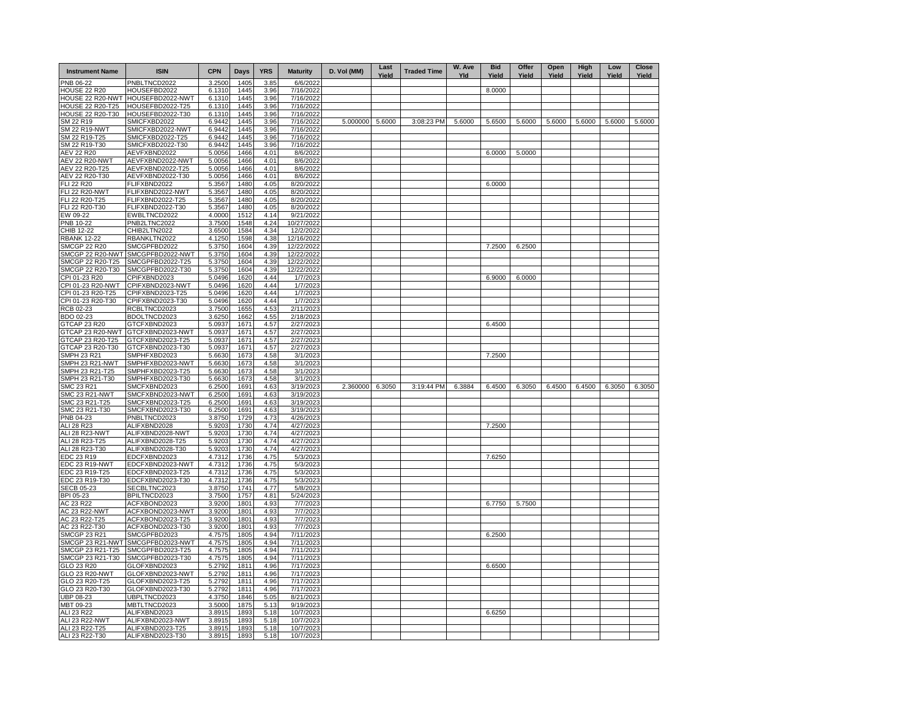| <b>Instrument Name</b>                    | <b>ISIN</b>                          | <b>CPN</b>       | Days         | <b>YRS</b>   | <b>Maturity</b>          | D. Vol (MM) | Last<br>Yield | <b>Traded Time</b> | W. Ave<br>Yld | <b>Bid</b><br>Yield | Offer<br>Yield | Open<br>Yield | High<br>Yield | Low<br>Yield | Close<br>Yield |
|-------------------------------------------|--------------------------------------|------------------|--------------|--------------|--------------------------|-------------|---------------|--------------------|---------------|---------------------|----------------|---------------|---------------|--------------|----------------|
| PNB 06-22                                 | PNBLTNCD2022                         | 3.2500           | 1405         | 3.85         | 6/6/2022                 |             |               |                    |               |                     |                |               |               |              |                |
| <b>HOUSE 22 R20</b>                       | HOUSEFBD2022                         | 6.1310           | 1445         | 3.96         | 7/16/2022                |             |               |                    |               | 8.0000              |                |               |               |              |                |
| HOUSE 22 R20-NWT<br>HOUSE 22 R20-T25      | HOUSEFBD2022-NWT<br>HOUSEFBD2022-T25 | 6.1310<br>6.1310 | 1445<br>1445 | 3.96<br>3.96 | 7/16/2022<br>7/16/2022   |             |               |                    |               |                     |                |               |               |              |                |
| HOUSE 22 R20-T30                          | HOUSEFBD2022-T30                     | 6.1310           | 1445         | 3.96         | 7/16/2022                |             |               |                    |               |                     |                |               |               |              |                |
| SM 22 R19                                 | SMICFXBD2022                         | 6.9442           | 1445         | 3.96         | 7/16/2022                | 5.000000    | 5.6000        | 3:08:23 PM         | 5.6000        | 5.6500              | 5.6000         | 5.6000        | 5.6000        | 5.6000       | 5.6000         |
| <b>SM 22 R19-NWT</b>                      | SMICFXBD2022-NWT                     | 6.9442           | 1445         | 3.96         | 7/16/2022                |             |               |                    |               |                     |                |               |               |              |                |
| SM 22 R19-T25<br>SM 22 R19-T30            | SMICFXBD2022-T25<br>SMICFXBD2022-T30 | 6.9442<br>6.9442 | 1445<br>1445 | 3.96<br>3.96 | 7/16/2022<br>7/16/2022   |             |               |                    |               |                     |                |               |               |              |                |
| <b>AEV 22 R20</b>                         | AEVFXBND2022                         | 5.0056           | 1466         | 4.01         | 8/6/2022                 |             |               |                    |               | 6.0000              | 5.0000         |               |               |              |                |
| <b>AEV 22 R20-NWT</b>                     | AEVFXBND2022-NWT                     | 5.0056           | 1466         | 4.01         | 8/6/2022                 |             |               |                    |               |                     |                |               |               |              |                |
| AEV 22 R20-T25                            | AEVFXBND2022-T25                     | 5.0056           | 1466         | 4.01         | 8/6/2022                 |             |               |                    |               |                     |                |               |               |              |                |
| AEV 22 R20-T30                            | AEVFXBND2022-T30                     | 5.0056           | 1466         | 4.01         | 8/6/2022                 |             |               |                    |               |                     |                |               |               |              |                |
| FLI 22 R20<br><b>FLI 22 R20-NWT</b>       | FLIFXBND2022<br>FLIFXBND2022-NWT     | 5.3567<br>5.3567 | 1480<br>1480 | 4.05<br>4.05 | 8/20/2022<br>8/20/2022   |             |               |                    |               | 6.0000              |                |               |               |              |                |
| FLI 22 R20-T25                            | FLIFXBND2022-T25                     | 5.3567           | 1480         | 4.05         | 8/20/2022                |             |               |                    |               |                     |                |               |               |              |                |
| FLI 22 R20-T30                            | FLIFXBND2022-T30                     | 5.3567           | 1480         | 4.05         | 8/20/2022                |             |               |                    |               |                     |                |               |               |              |                |
| EW 09-22                                  | EWBLTNCD2022                         | 4.0000           | 1512         | 4.14         | 9/21/2022                |             |               |                    |               |                     |                |               |               |              |                |
| <b>PNB 10-22</b>                          | PNB2LTNC2022                         | 3.7500           | 1548         | 4.24         | 10/27/2022               |             |               |                    |               |                     |                |               |               |              |                |
| CHIB 12-22                                | CHIB2LTN2022<br>RBANKLTN2022         | 3.6500           | 1584<br>1598 | 4.34<br>4.38 | 12/2/2022                |             |               |                    |               |                     |                |               |               |              |                |
| <b>RBANK 12-22</b><br><b>SMCGP 22 R20</b> | SMCGPFBD2022                         | 4.1250<br>5.3750 | 1604         | 4.39         | 12/16/2022<br>12/22/2022 |             |               |                    |               | 7.2500              | 6.2500         |               |               |              |                |
| SMCGP 22 R20-NWT                          | SMCGPFBD2022-NWT                     | 5.3750           | 1604         | 4.39         | 12/22/2022               |             |               |                    |               |                     |                |               |               |              |                |
| SMCGP 22 R20-T25                          | SMCGPFBD2022-T25                     | 5.3750           | 1604         | 4.39         | 12/22/2022               |             |               |                    |               |                     |                |               |               |              |                |
| SMCGP 22 R20-T30                          | SMCGPFBD2022-T30                     | 5.3750           | 1604         | 4.39         | 12/22/2022               |             |               |                    |               |                     |                |               |               |              |                |
| CPI 01-23 R20                             | CPIFXBND2023                         | 5.0496           | 1620         | 4.44         | 1/7/2023                 |             |               |                    |               | 6.9000              | 6.0000         |               |               |              |                |
| CPI 01-23 R20-NWT<br>CPI 01-23 R20-T25    | CPIFXBND2023-NWT<br>CPIFXBND2023-T25 | 5.0496<br>5.0496 | 1620<br>1620 | 4.44<br>4.44 | 1/7/2023<br>1/7/2023     |             |               |                    |               |                     |                |               |               |              |                |
| CPI 01-23 R20-T30                         | CPIFXBND2023-T30                     | 5.0496           | 1620         | 4.44         | 1/7/2023                 |             |               |                    |               |                     |                |               |               |              |                |
| RCB 02-23                                 | RCBLTNCD2023                         | 3.7500           | 1655         | 4.53         | 2/11/2023                |             |               |                    |               |                     |                |               |               |              |                |
| BDO 02-23                                 | BDOLTNCD2023                         | 3.6250           | 1662         | 4.55         | 2/18/2023                |             |               |                    |               |                     |                |               |               |              |                |
| GTCAP 23 R20                              | GTCFXBND2023                         | 5.0937           | 1671         | 4.57         | 2/27/2023                |             |               |                    |               | 6.4500              |                |               |               |              |                |
| GTCAP 23 R20-NWT<br>GTCAP 23 R20-T25      | GTCFXBND2023-NWT<br>GTCFXBND2023-T25 | 5.0937<br>5.0937 | 1671<br>1671 | 4.57<br>4.57 | 2/27/2023<br>2/27/2023   |             |               |                    |               |                     |                |               |               |              |                |
| GTCAP 23 R20-T30                          | GTCFXBND2023-T30                     | 5.0937           | 1671         | 4.57         | 2/27/2023                |             |               |                    |               |                     |                |               |               |              |                |
| <b>SMPH 23 R21</b>                        | SMPHFXBD2023                         | 5.6630           | 1673         | 4.58         | 3/1/2023                 |             |               |                    |               | 7.2500              |                |               |               |              |                |
| SMPH 23 R21-NWT                           | SMPHFXBD2023-NWT                     | 5.6630           | 1673         | 4.58         | 3/1/2023                 |             |               |                    |               |                     |                |               |               |              |                |
| SMPH 23 R21-T25                           | SMPHFXBD2023-T25                     | 5.6630           | 1673         | 4.58         | 3/1/2023                 |             |               |                    |               |                     |                |               |               |              |                |
| SMPH 23 R21-T30<br><b>SMC 23 R21</b>      | SMPHFXBD2023-T30<br>SMCFXBND2023     | 5.6630<br>6.2500 | 1673<br>1691 | 4.58<br>4.63 | 3/1/2023<br>3/19/2023    | 2.360000    | 6.3050        | 3:19:44 PM         | 6.3884        | 6.4500              | 6.3050         | 6.4500        | 6.4500        | 6.3050       | 6.3050         |
| <b>SMC 23 R21-NWT</b>                     | SMCFXBND2023-NWT                     | 6.2500           | 1691         | 4.63         | 3/19/2023                |             |               |                    |               |                     |                |               |               |              |                |
| SMC 23 R21-T25                            | SMCFXBND2023-T25                     | 6.2500           | 1691         | 4.63         | 3/19/2023                |             |               |                    |               |                     |                |               |               |              |                |
| SMC 23 R21-T30                            | SMCFXBND2023-T30                     | 6.2500           | 1691         | 4.63         | 3/19/2023                |             |               |                    |               |                     |                |               |               |              |                |
| PNB 04-23                                 | PNBLTNCD2023                         | 3.8750           | 1729         | 4.73         | 4/26/2023                |             |               |                    |               |                     |                |               |               |              |                |
| ALI 28 R23<br>ALI 28 R23-NWT              | ALIFXBND2028<br>ALIFXBND2028-NWT     | 5.9203<br>5.9203 | 1730<br>1730 | 4.74<br>4.74 | 4/27/2023<br>4/27/2023   |             |               |                    |               | 7.2500              |                |               |               |              |                |
| ALI 28 R23-T25                            | ALIFXBND2028-T25                     | 5.9203           | 1730         | 4.74         | 4/27/2023                |             |               |                    |               |                     |                |               |               |              |                |
| ALI 28 R23-T30                            | ALIFXBND2028-T30                     | 5.9203           | 1730         | 4.74         | 4/27/2023                |             |               |                    |               |                     |                |               |               |              |                |
| EDC 23 R19                                | EDCFXBND2023                         | 4.7312           | 1736         | 4.75         | 5/3/2023                 |             |               |                    |               | 7.6250              |                |               |               |              |                |
| EDC 23 R19-NWT                            | EDCFXBND2023-NWT                     | 4.7312           | 1736         | 4.75         | 5/3/2023                 |             |               |                    |               |                     |                |               |               |              |                |
| EDC 23 R19-T25<br>EDC 23 R19-T30          | EDCFXBND2023-T25<br>EDCFXBND2023-T30 | 4.7312<br>4.7312 | 1736<br>1736 | 4.75<br>4.75 | 5/3/2023<br>5/3/2023     |             |               |                    |               |                     |                |               |               |              |                |
| <b>SECB 05-23</b>                         | SECBLTNC2023                         | 3.8750           | 1741         | 4.77         | 5/8/2023                 |             |               |                    |               |                     |                |               |               |              |                |
| BPI 05-23                                 | BPILTNCD2023                         | 3.7500           | 1757         | 4.81         | 5/24/2023                |             |               |                    |               |                     |                |               |               |              |                |
| AC 23 R22                                 | ACFXBOND2023                         | 3.9200           | 1801         | 4.93         | 7/7/2023                 |             |               |                    |               | 6.7750              | 5.7500         |               |               |              |                |
| AC 23 R22-NWT                             | ACFXBOND2023-NWT                     | 3.9200           | 1801         | 4.93         | 7/7/2023                 |             |               |                    |               |                     |                |               |               |              |                |
| AC 23 R22-T25<br>AC 23 R22-T30            | ACFXBOND2023-T25<br>ACFXBOND2023-T30 | 3.9200<br>3.9200 | 1801<br>1801 | 4.93<br>4.93 | 7/7/2023<br>7/7/2023     |             |               |                    |               |                     |                |               |               |              |                |
| <b>SMCGP 23 R21</b>                       | SMCGPFBD2023                         | 4.7575           | 1805         | 4.94         | 7/11/2023                |             |               |                    |               | 6.2500              |                |               |               |              |                |
| SMCGP 23 R21-NWT                          | SMCGPFBD2023-NWT                     | 4.7575           | 1805         | 4.94         | 7/11/2023                |             |               |                    |               |                     |                |               |               |              |                |
| SMCGP 23 R21-T25                          | SMCGPFBD2023-T25                     | 4.7575           | 1805         | 4.94         | 7/11/2023                |             |               |                    |               |                     |                |               |               |              |                |
| SMCGP 23 R21-T30                          | SMCGPFBD2023-T30                     | 4.7575           | 1805         | 4.94         | 7/11/2023                |             |               |                    |               |                     |                |               |               |              |                |
| GLO 23 R20<br>GLO 23 R20-NWT              | GLOFXBND2023<br>GLOFXBND2023-NWT     | 5.2792<br>5.2792 | 1811<br>1811 | 4.96<br>4.96 | 7/17/2023<br>7/17/2023   |             |               |                    |               | 6.6500              |                |               |               |              |                |
| GLO 23 R20-T25                            | GLOFXBND2023-T25                     | 5.2792           | 1811         | 4.96         | 7/17/2023                |             |               |                    |               |                     |                |               |               |              |                |
| GLO 23 R20-T30                            | GLOFXBND2023-T30                     | 5.2792           | 1811         | 4.96         | 7/17/2023                |             |               |                    |               |                     |                |               |               |              |                |
| UBP 08-23                                 | UBPLTNCD2023                         | 4.3750           | 1846         | 5.05         | 8/21/2023                |             |               |                    |               |                     |                |               |               |              |                |
| MBT 09-23                                 | MBTLTNCD2023                         | 3.5000           | 1875         | 5.13         | 9/19/2023                |             |               |                    |               |                     |                |               |               |              |                |
| ALI 23 R22                                | ALIFXBND2023                         | 3.8915           | 1893<br>1893 | 5.18         | 10/7/2023                |             |               |                    |               | 6.6250              |                |               |               |              |                |
| ALI 23 R22-NWT<br>ALI 23 R22-T25          | ALIFXBND2023-NWT<br>ALIFXBND2023-T25 | 3.8915<br>3.8915 | 1893         | 5.18<br>5.18 | 10/7/2023<br>10/7/2023   |             |               |                    |               |                     |                |               |               |              |                |
| ALI 23 R22-T30                            | ALIFXBND2023-T30                     | 3.8915           | 1893         | 5.18         | 10/7/2023                |             |               |                    |               |                     |                |               |               |              |                |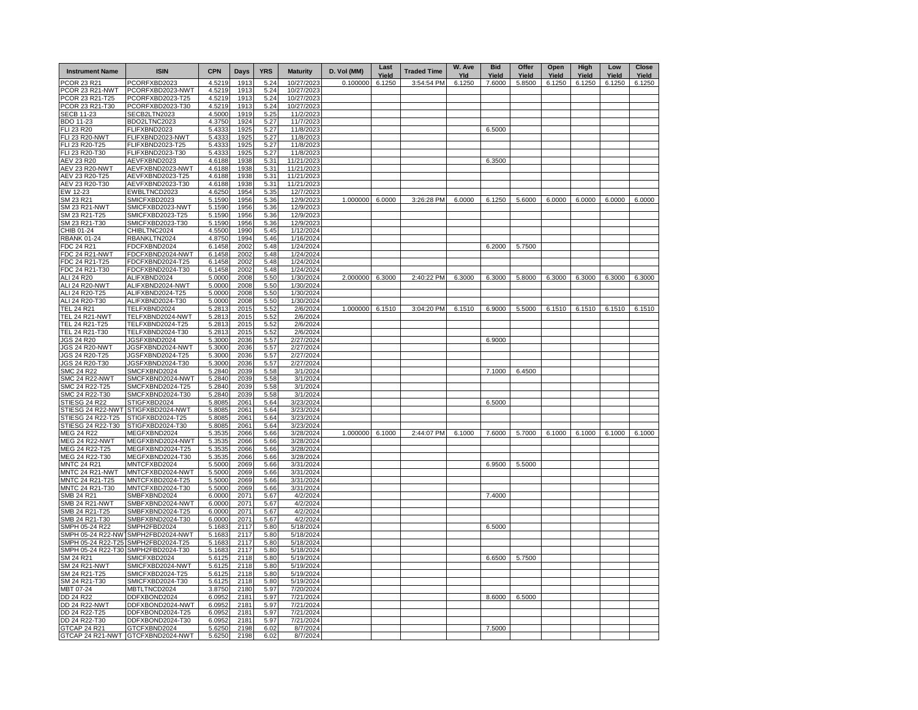| <b>Instrument Name</b>                  | <b>ISIN</b>                          | <b>CPN</b>       | Days         | <b>YRS</b>   | <b>Maturity</b>          | D. Vol (MM)     | Last<br>Yield | <b>Traded Time</b> | W. Ave<br>Yld | <b>Bid</b><br>Yield | Offer<br>Yield | Open<br>Yield | High<br>Yield | Low<br>Yield | Close<br>Yield |
|-----------------------------------------|--------------------------------------|------------------|--------------|--------------|--------------------------|-----------------|---------------|--------------------|---------------|---------------------|----------------|---------------|---------------|--------------|----------------|
| <b>PCOR 23 R21</b>                      | PCORFXBD2023                         | 4.5219           | 191          | 5.24         | 10/27/2023               | 0.100000        | 6.1250        | 3:54:54 PM         | 6.1250        | 7.6000              | 5.8500         | 6.1250        | 6.1250        | 6.1250       | 6.1250         |
| PCOR 23 R21-NWT                         | PCORFXBD2023-NWT                     | 4.5219           | 191          | 5.24         | 10/27/2023               |                 |               |                    |               |                     |                |               |               |              |                |
| PCOR 23 R21-T25<br>PCOR 23 R21-T30      | PCORFXBD2023-T25<br>PCORFXBD2023-T30 | 4.5219<br>4.5219 | 1913<br>1913 | 5.24<br>5.24 | 10/27/2023<br>10/27/2023 |                 |               |                    |               |                     |                |               |               |              |                |
| <b>SECB 11-23</b>                       | SECB2LTN2023                         | 4.5000           | 1919         | 5.25         | 11/2/2023                |                 |               |                    |               |                     |                |               |               |              |                |
| BDO 11-23                               | BDO2LTNC2023                         | 4.3750           | 1924         | 5.27         | 11/7/2023                |                 |               |                    |               |                     |                |               |               |              |                |
| FLI 23 R20                              | FLIFXBND2023                         | 5.4333           | 1925         | 5.27         | 11/8/2023                |                 |               |                    |               | 6.5000              |                |               |               |              |                |
| <b>FLI 23 R20-NWT</b>                   | FLIFXBND2023-NWT                     | 5.4333           | 1925         | 5.27         | 11/8/2023                |                 |               |                    |               |                     |                |               |               |              |                |
| FLI 23 R20-T25                          | FLIFXBND2023-T25                     | 5.4333           | 1925         | 5.27         | 11/8/2023                |                 |               |                    |               |                     |                |               |               |              |                |
| FLI 23 R20-T30                          | FLIFXBND2023-T30                     | 5.4333           | 1925         | 5.27         | 11/8/2023                |                 |               |                    |               |                     |                |               |               |              |                |
| <b>AEV 23 R20</b>                       | AEVFXBND2023                         | 4.6188           | 1938         | 5.31         | 11/21/2023               |                 |               |                    |               | 6.3500              |                |               |               |              |                |
| AEV 23 R20-NWT                          | AEVFXBND2023-NWT                     | 4.6188           | 1938         | 5.31         | 11/21/2023               |                 |               |                    |               |                     |                |               |               |              |                |
| AEV 23 R20-T25                          | AEVFXBND2023-T25                     | 4.6188           | 1938         | 5.31         | 11/21/2023               |                 |               |                    |               |                     |                |               |               |              |                |
| AEV 23 R20-T30<br>EW 12-23              | AEVFXBND2023-T30<br>EWBLTNCD2023     | 4.6188<br>4.6250 | 1938<br>1954 | 5.31<br>5.35 | 11/21/2023<br>12/7/2023  |                 |               |                    |               |                     |                |               |               |              |                |
| SM 23 R21                               | SMICFXBD2023                         | 5.1590           | 1956         | 5.36         | 12/9/2023                | 1.000000        | 6.0000        | 3:26:28 PM         | 6.0000        | 6.1250              | 5.6000         | 6.0000        | 6.0000        | 6.0000       | 6.0000         |
| SM 23 R21-NWT                           | SMICFXBD2023-NWT                     | 5.1590           | 1956         | 5.36         | 12/9/2023                |                 |               |                    |               |                     |                |               |               |              |                |
| SM 23 R21-T25                           | SMICFXBD2023-T25                     | 5.1590           | 1956         | 5.36         | 12/9/2023                |                 |               |                    |               |                     |                |               |               |              |                |
| SM 23 R21-T30                           | SMICFXBD2023-T30                     | 5.1590           | 1956         | 5.36         | 12/9/2023                |                 |               |                    |               |                     |                |               |               |              |                |
| CHIB 01-24                              | CHIBLTNC2024                         | 4.5500           | 1990         | 5.45         | 1/12/2024                |                 |               |                    |               |                     |                |               |               |              |                |
| RBANK 01-24                             | RBANKLTN2024                         | 4.8750           | 1994         | 5.46         | 1/16/2024                |                 |               |                    |               |                     |                |               |               |              |                |
| FDC 24 R21                              | FDCFXBND2024                         | 6.1458           | 2002         | 5.48         | 1/24/2024                |                 |               |                    |               | 6.2000              | 5.7500         |               |               |              |                |
| FDC 24 R21-NWT                          | FDCFXBND2024-NWT                     | 6.1458           | 2002         | 5.48         | 1/24/2024                |                 |               |                    |               |                     |                |               |               |              |                |
| DC 24 R21-T25                           | FDCFXBND2024-T25                     | 6.1458           | 2002         | 5.48         | 1/24/2024                |                 |               |                    |               |                     |                |               |               |              |                |
| FDC 24 R21-T30                          | FDCFXBND2024-T30                     | 6.1458           | 2002         | 5.48         | 1/24/2024                |                 |               |                    |               |                     |                |               |               |              |                |
| ALI 24 R20                              | ALIFXBND2024                         | 5.0000           | 2008         | 5.50         | 1/30/2024                | 2.000000        | 6.3000        | 2:40:22 PM         | 6.3000        | 6.3000              | 5.8000         | 6.3000        | 6.3000        | 6.3000       | 6.3000         |
| <b>ALI 24 R20-NWT</b><br>ALI 24 R20-T25 | ALIFXBND2024-NWT<br>ALIFXBND2024-T25 | 5.0000<br>5.0000 | 2008<br>2008 | 5.50<br>5.50 | 1/30/2024<br>1/30/2024   |                 |               |                    |               |                     |                |               |               |              |                |
| ALI 24 R20-T30                          | ALIFXBND2024-T30                     | 5.0000           | 2008         | 5.50         | 1/30/2024                |                 |               |                    |               |                     |                |               |               |              |                |
| <b>TEL 24 R21</b>                       | TELFXBND2024                         | 5.2813           | 2015         | 5.52         | 2/6/2024                 | 1.000000        | 6.1510        | 3:04:20 PM         | 6.1510        | 6.9000              | 5.5000         | 6.1510        | 6.1510        | 6.1510       | 6.1510         |
| <b>TEL 24 R21-NWT</b>                   | TELFXBND2024-NWT                     | 5.2813           | 2015         | 5.52         | 2/6/2024                 |                 |               |                    |               |                     |                |               |               |              |                |
| TEL 24 R21-T25                          | TELFXBND2024-T25                     | 5.2813           | 2015         | 5.52         | 2/6/2024                 |                 |               |                    |               |                     |                |               |               |              |                |
| TEL 24 R21-T30                          | TELFXBND2024-T30                     | 5.2813           | 2015         | 5.52         | 2/6/2024                 |                 |               |                    |               |                     |                |               |               |              |                |
| JGS 24 R20                              | JGSFXBND2024                         | 5.3000           | 2036         | 5.57         | 2/27/2024                |                 |               |                    |               | 6.9000              |                |               |               |              |                |
| <b>JGS 24 R20-NWT</b>                   | JGSFXBND2024-NWT                     | 5.3000           | 2036         | 5.57         | 2/27/2024                |                 |               |                    |               |                     |                |               |               |              |                |
| JGS 24 R20-T25                          | JGSFXBND2024-T25                     | 5.3000           | 2036         | 5.57         | 2/27/2024                |                 |               |                    |               |                     |                |               |               |              |                |
| JGS 24 R20-T30                          | JGSFXBND2024-T30                     | 5.3000           | 2036         | 5.57         | 2/27/2024                |                 |               |                    |               |                     |                |               |               |              |                |
| <b>SMC 24 R22</b>                       | SMCFXBND2024                         | 5.2840           | 2039         | 5.58         | 3/1/2024<br>3/1/2024     |                 |               |                    |               | 7.1000              | 6.4500         |               |               |              |                |
| <b>SMC 24 R22-NWT</b><br>SMC 24 R22-T25 | SMCFXBND2024-NWT<br>SMCFXBND2024-T25 | 5.2840<br>5.2840 | 2039<br>2039 | 5.58<br>5.58 | 3/1/2024                 |                 |               |                    |               |                     |                |               |               |              |                |
| SMC 24 R22-T30                          | SMCFXBND2024-T30                     | 5.2840           | 2039         | 5.58         | 3/1/2024                 |                 |               |                    |               |                     |                |               |               |              |                |
| STIESG 24 R22                           | STIGFXBD2024                         | 5.8085           | 2061         | 5.64         | 3/23/2024                |                 |               |                    |               | 6.5000              |                |               |               |              |                |
| STIESG 24 R22-NWT                       | STIGFXBD2024-NWT                     | 5.8085           | 2061         | 5.64         | 3/23/2024                |                 |               |                    |               |                     |                |               |               |              |                |
| STIESG 24 R22-T25                       | STIGFXBD2024-T25                     | 5.8085           | 2061         | 5.64         | 3/23/2024                |                 |               |                    |               |                     |                |               |               |              |                |
| STIESG 24 R22-T30                       | STIGFXBD2024-T30                     | 5.8085           | 2061         | 5.64         | 3/23/2024                |                 |               |                    |               |                     |                |               |               |              |                |
| MEG 24 R22                              | MEGFXBND2024                         | 5.3535           | 2066         | 5.66         | 3/28/2024                | 1.000000 6.1000 |               | 2:44:07 PM         | 6.1000        | 7.6000              | 5.7000         | 6.1000        | 6.1000        | 6.1000       | 6.1000         |
| <b>MEG 24 R22-NWT</b>                   | MEGFXBND2024-NWT                     | 5.3535           | 2066         | 5.66         | 3/28/2024                |                 |               |                    |               |                     |                |               |               |              |                |
| MEG 24 R22-T25                          | MEGFXBND2024-T25                     | 5.3535           | 2066         | 5.66         | 3/28/2024                |                 |               |                    |               |                     |                |               |               |              |                |
| MEG 24 R22-T30                          | MEGFXBND2024-T30                     | 5.3535           | 2066         | 5.66         | 3/28/2024                |                 |               |                    |               |                     |                |               |               |              |                |
| <b>MNTC 24 R21</b>                      | MNTCFXBD2024                         | 5.5000           | 2069         | 5.66         | 3/31/2024                |                 |               |                    |               | 6.9500              | 5.5000         |               |               |              |                |
| MNTC 24 R21-NWT<br>MNTC 24 R21-T25      | MNTCFXBD2024-NWT<br>MNTCFXBD2024-T25 | 5.5000<br>5.5000 | 2069<br>2069 | 5.66<br>5.66 | 3/31/2024<br>3/31/2024   |                 |               |                    |               |                     |                |               |               |              |                |
| MNTC 24 R21-T30                         | MNTCFXBD2024-T30                     | 5.5000           | 2069         | 5.66         | 3/31/2024                |                 |               |                    |               |                     |                |               |               |              |                |
| SMB 24 R21                              | SMBFXBND2024                         | 6.0000           | 207          | 5.67         | 4/2/2024                 |                 |               |                    |               | 7.4000              |                |               |               |              |                |
| SMB 24 R21-NWT                          | SMBFXBND2024-NWT                     | 6.0000           | 2071         | 5.67         | 4/2/2024                 |                 |               |                    |               |                     |                |               |               |              |                |
| SMB 24 R21-T25                          | SMBFXBND2024-T25                     | 6.0000           | 2071         | 5.67         | 4/2/2024                 |                 |               |                    |               |                     |                |               |               |              |                |
| SMB 24 R21-T30                          | SMBFXBND2024-T30                     | 6.0000           | 2071         | 5.67         | 4/2/2024                 |                 |               |                    |               |                     |                |               |               |              |                |
| SMPH 05-24 R22                          | SMPH2FBD2024                         | 5.1683           | 2117         | 5.80         | 5/18/2024                |                 |               |                    |               | 6.5000              |                |               |               |              |                |
| SMPH 05-24 R22-NW                       | SMPH2FBD2024-NWT                     | 5.1683           | 2117         | 5.80         | 5/18/2024                |                 |               |                    |               |                     |                |               |               |              |                |
| SMPH 05-24 R22-T25                      | SMPH2FBD2024-T25                     | 5.1683           | 2117         | 5.80         | 5/18/2024                |                 |               |                    |               |                     |                |               |               |              |                |
| SMPH 05-24 R22-T30                      | SMPH2FBD2024-T30                     | 5.1683           | 2117         | 5.80         | 5/18/2024                |                 |               |                    |               |                     |                |               |               |              |                |
| SM 24 R21                               | SMICFXBD2024                         | 5.6125           | 2118         | 5.80         | 5/19/2024                |                 |               |                    |               | 6.6500              | 5.7500         |               |               |              |                |
| SM 24 R21-NWT<br>SM 24 R21-T25          | SMICFXBD2024-NWT<br>SMICFXBD2024-T25 | 5.6125<br>5.6125 | 2118<br>2118 | 5.80<br>5.80 | 5/19/2024<br>5/19/2024   |                 |               |                    |               |                     |                |               |               |              |                |
| SM 24 R21-T30                           | SMICFXBD2024-T30                     | 5.6125           | 2118         | 5.80         | 5/19/2024                |                 |               |                    |               |                     |                |               |               |              |                |
| MBT 07-24                               | MBTLTNCD2024                         | 3.8750           | 2180         | 5.97         | 7/20/2024                |                 |               |                    |               |                     |                |               |               |              |                |
| DD 24 R22                               | DDFXBOND2024                         | 6.0952           | 2181         | 5.97         | 7/21/2024                |                 |               |                    |               | 8.6000              | 6.5000         |               |               |              |                |
| DD 24 R22-NWT                           | DDFXBOND2024-NWT                     | 6.0952           | 2181         | 5.97         | 7/21/2024                |                 |               |                    |               |                     |                |               |               |              |                |
| DD 24 R22-T25                           | DDFXBOND2024-T25                     | 6.0952           | 2181         | 5.97         | 7/21/2024                |                 |               |                    |               |                     |                |               |               |              |                |
| DD 24 R22-T30                           | DDFXBOND2024-T30                     | 6.0952           | 2181         | 5.97         | 7/21/2024                |                 |               |                    |               |                     |                |               |               |              |                |
| GTCAP 24 R21                            | GTCFXBND2024                         | 5.6250           | 2198         | 6.02         | 8/7/2024                 |                 |               |                    |               | 7.5000              |                |               |               |              |                |
|                                         | GTCAP 24 R21-NWT GTCFXBND2024-NWT    | 5.6250           | 2198         | 6.02         | 8/7/2024                 |                 |               |                    |               |                     |                |               |               |              |                |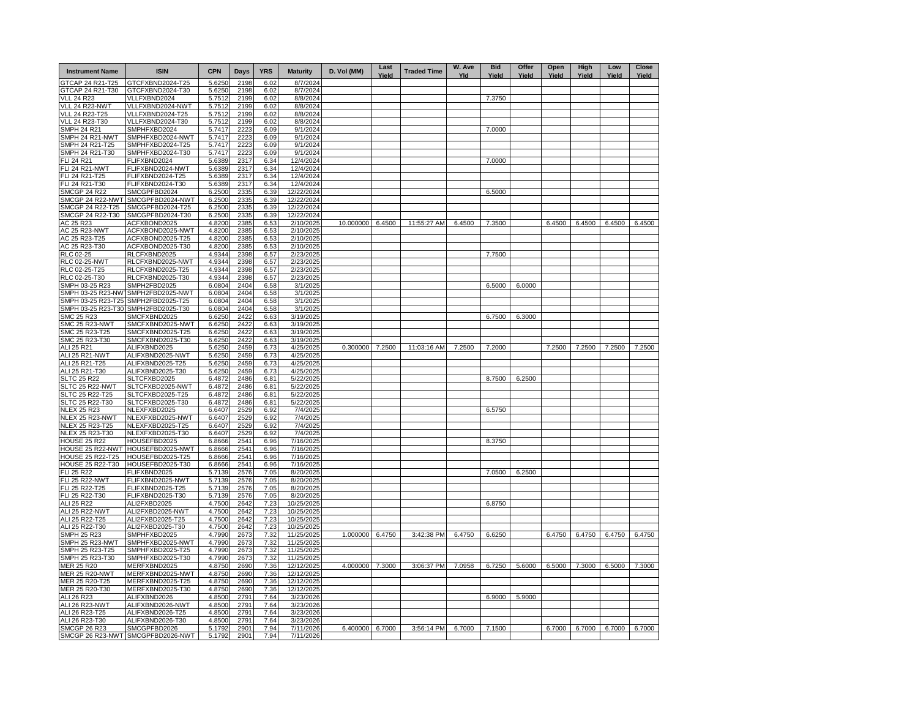| <b>Instrument Name</b>                | <b>ISIN</b>                          | <b>CPN</b>       | Days         | <b>YRS</b>   | <b>Maturity</b>          | D. Vol (MM) | Last<br>Yield | <b>Traded Time</b> | W. Ave<br>Yld | <b>Bid</b><br>Yield | Offer<br>Yield | Open<br>Yield | High<br>Yield | Low<br>Yield | <b>Close</b><br>Yield |
|---------------------------------------|--------------------------------------|------------------|--------------|--------------|--------------------------|-------------|---------------|--------------------|---------------|---------------------|----------------|---------------|---------------|--------------|-----------------------|
| GTCAP 24 R21-T25                      | GTCFXBND2024-T25                     | 5.6250           | 2198         | 6.02         | 8/7/2024                 |             |               |                    |               |                     |                |               |               |              |                       |
| GTCAP 24 R21-T30                      | GTCFXBND2024-T30                     | 5.6250           | 2198         | 6.02         | 8/7/2024                 |             |               |                    |               |                     |                |               |               |              |                       |
| <b>VLL 24 R23</b>                     | VLLFXBND2024                         | 5.7512           | 2199         | 6.02         | 8/8/2024                 |             |               |                    |               | 7.3750              |                |               |               |              |                       |
| VLL 24 R23-NWT<br>VLL 24 R23-T25      | VLLFXBND2024-NWT<br>VLLFXBND2024-T25 | 5.7512<br>5.7512 | 2199<br>2199 | 6.02<br>6.02 | 8/8/2024<br>8/8/2024     |             |               |                    |               |                     |                |               |               |              |                       |
| VLL 24 R23-T30                        | VLLFXBND2024-T30                     | 5.7512           | 2199         | 6.02         | 8/8/2024                 |             |               |                    |               |                     |                |               |               |              |                       |
| <b>SMPH 24 R21</b>                    | SMPHFXBD2024                         | 5.7417           | 222          | 6.09         | 9/1/2024                 |             |               |                    |               | 7.0000              |                |               |               |              |                       |
| SMPH 24 R21-NWT                       | SMPHFXBD2024-NWT                     | 5.7417           | 2223         | 6.09         | 9/1/2024                 |             |               |                    |               |                     |                |               |               |              |                       |
| SMPH 24 R21-T25                       | SMPHFXBD2024-T25                     | 5.7417           | 2223         | 6.09         | 9/1/2024                 |             |               |                    |               |                     |                |               |               |              |                       |
| SMPH 24 R21-T30                       | SMPHFXBD2024-T30                     | 5.7417           | 2223         | 6.09         | 9/1/2024                 |             |               |                    |               |                     |                |               |               |              |                       |
| FLI 24 R21                            | FLIFXBND2024                         | 5.6389           | 2317         | 6.34         | 12/4/2024                |             |               |                    |               | 7.0000              |                |               |               |              |                       |
| <b>FLI 24 R21-NWT</b>                 | FLIFXBND2024-NWT                     | 5.6389           | 2317         | 6.34         | 12/4/2024                |             |               |                    |               |                     |                |               |               |              |                       |
| FLI 24 R21-T25                        | FLIFXBND2024-T25                     | 5.6389           | 2317         | 6.34         | 12/4/2024                |             |               |                    |               |                     |                |               |               |              |                       |
| FLI 24 R21-T30                        | FLIFXBND2024-T30                     | 5.6389           | 2317         | 6.34         | 12/4/2024                |             |               |                    |               |                     |                |               |               |              |                       |
| <b>SMCGP 24 R22</b>                   | SMCGPFBD2024                         | 6.2500           | 2335         | 6.39         | 12/22/2024               |             |               |                    |               | 6.5000              |                |               |               |              |                       |
| SMCGP 24 R22-NWT                      | SMCGPFBD2024-NWT                     | 6.2500           | 2335         | 6.39         | 12/22/2024               |             |               |                    |               |                     |                |               |               |              |                       |
| SMCGP 24 R22-T25                      | SMCGPFBD2024-T25                     | 6.2500           | 2335         | 6.39         | 12/22/2024               |             |               |                    |               |                     |                |               |               |              |                       |
| SMCGP 24 R22-T30                      | SMCGPFBD2024-T30                     | 6.2500           | 2335         | 6.39         | 12/22/2024               |             |               |                    |               |                     |                |               |               |              |                       |
| AC 25 R23                             | ACFXBOND2025                         | 4.8200           | 2385         | 6.53         | 2/10/2025                | 10.000000   | 6.4500        | 11:55:27 AM        | 6.4500        | 7.3500              |                | 6.4500        | 6.4500        | 6.4500       | 6.4500                |
| AC 25 R23-NWT                         | ACFXBOND2025-NWT                     | 4.8200           | 2385         | 6.53         | 2/10/2025                |             |               |                    |               |                     |                |               |               |              |                       |
| AC 25 R23-T25<br>AC 25 R23-T30        | ACFXBOND2025-T25<br>ACFXBOND2025-T30 | 4.8200<br>4.8200 | 2385<br>2385 | 6.53<br>6.53 | 2/10/2025<br>2/10/2025   |             |               |                    |               |                     |                |               |               |              |                       |
| RLC 02-25                             | RLCFXBND2025                         | 4.9344           | 2398         | 6.57         | 2/23/2025                |             |               |                    |               | 7.7500              |                |               |               |              |                       |
| <b>RLC 02-25-NWT</b>                  | RLCFXBND2025-NWT                     | 4.9344           | 2398         | 6.57         | 2/23/2025                |             |               |                    |               |                     |                |               |               |              |                       |
| RLC 02-25-T25                         | RLCFXBND2025-T25                     | 4.9344           | 2398         | 6.57         | 2/23/2025                |             |               |                    |               |                     |                |               |               |              |                       |
| RLC 02-25-T30                         | RLCFXBND2025-T30                     | 4.9344           | 2398         | 6.57         | 2/23/2025                |             |               |                    |               |                     |                |               |               |              |                       |
| SMPH 03-25 R23                        | SMPH2FBD2025                         | 6.0804           | 2404         | 6.58         | 3/1/2025                 |             |               |                    |               | 6.5000              | 6.0000         |               |               |              |                       |
| SMPH 03-25 R23-NW                     | SMPH2FBD2025-NWT                     | 6.0804           | 2404         | 6.58         | 3/1/2025                 |             |               |                    |               |                     |                |               |               |              |                       |
| SMPH 03-25 R23-T25                    | SMPH2FBD2025-T25                     | 6.0804           | 2404         | 6.58         | 3/1/2025                 |             |               |                    |               |                     |                |               |               |              |                       |
| SMPH 03-25 R23-T30                    | SMPH2FBD2025-T30                     | 6.0804           | 2404         | 6.58         | 3/1/2025                 |             |               |                    |               |                     |                |               |               |              |                       |
| <b>SMC 25 R23</b>                     | SMCFXBND2025                         | 6.6250           | 2422         | 6.63         | 3/19/2025                |             |               |                    |               | 6.7500              | 6.3000         |               |               |              |                       |
| <b>SMC 25 R23-NWT</b>                 | SMCFXBND2025-NWT                     | 6.6250           | 2422         | 6.63         | 3/19/2025                |             |               |                    |               |                     |                |               |               |              |                       |
| SMC 25 R23-T25                        | SMCFXBND2025-T25                     | 6.6250           | 2422         | 6.63         | 3/19/2025                |             |               |                    |               |                     |                |               |               |              |                       |
| SMC 25 R23-T30                        | SMCFXBND2025-T30                     | 6.6250           | 2422         | 6.63         | 3/19/2025                |             |               |                    |               |                     |                |               |               |              |                       |
| ALI 25 R21                            | ALIFXBND2025                         | 5.6250           | 2459         | 6.73         | 4/25/2025                | 0.300000    | 7.2500        | 11:03:16 AM        | 7.2500        | 7.2000              |                | 7.2500        | 7.2500        | 7.2500       | 7.2500                |
| ALI 25 R21-NWT                        | ALIFXBND2025-NWT                     | 5.6250           | 2459         | 6.73         | 4/25/2025                |             |               |                    |               |                     |                |               |               |              |                       |
| ALI 25 R21-T25                        | ALIFXBND2025-T25                     | 5.6250           | 2459         | 6.73         | 4/25/2025                |             |               |                    |               |                     |                |               |               |              |                       |
| ALI 25 R21-T30                        | ALIFXBND2025-T30                     | 5.6250           | 2459         | 6.73         | 4/25/2025                |             |               |                    |               |                     |                |               |               |              |                       |
| <b>SLTC 25 R22</b>                    | SLTCFXBD2025                         | 6.4872           | 2486         | 6.81         | 5/22/2025                |             |               |                    |               | 8.7500              | 6.2500         |               |               |              |                       |
| SLTC 25 R22-NWT                       | SLTCFXBD2025-NWT                     | 6.4872           | 2486         | 6.81         | 5/22/2025                |             |               |                    |               |                     |                |               |               |              |                       |
| SLTC 25 R22-T25                       | SLTCFXBD2025-T25                     | 6.4872           | 2486         | 6.81         | 5/22/2025                |             |               |                    |               |                     |                |               |               |              |                       |
| SLTC 25 R22-T30<br><b>NLEX 25 R23</b> | SLTCFXBD2025-T30<br>NLEXFXBD2025     | 6.4872<br>6.6407 | 2486<br>2529 | 6.81<br>6.92 | 5/22/2025<br>7/4/2025    |             |               |                    |               | 6.5750              |                |               |               |              |                       |
| NLEX 25 R23-NWT                       | NLEXFXBD2025-NWT                     | 6.6407           | 2529         | 6.92         | 7/4/2025                 |             |               |                    |               |                     |                |               |               |              |                       |
| NLEX 25 R23-T25                       | NLEXFXBD2025-T25                     | 6.6407           | 2529         | 6.92         | 7/4/2025                 |             |               |                    |               |                     |                |               |               |              |                       |
| NLEX 25 R23-T30                       | NLEXFXBD2025-T30                     | 6.6407           | 2529         | 6.92         | 7/4/2025                 |             |               |                    |               |                     |                |               |               |              |                       |
| <b>HOUSE 25 R22</b>                   | HOUSEFBD2025                         | 6.8666           | 2541         | 6.96         | 7/16/2025                |             |               |                    |               | 8.3750              |                |               |               |              |                       |
| HOUSE 25 R22-NWT                      | HOUSEFBD2025-NWT                     | 6.8666           | 2541         | 6.96         | 7/16/2025                |             |               |                    |               |                     |                |               |               |              |                       |
| HOUSE 25 R22-T25                      | HOUSEFBD2025-T25                     | 6.8666           | 2541         | 6.96         | 7/16/2025                |             |               |                    |               |                     |                |               |               |              |                       |
| HOUSE 25 R22-T30                      | HOUSEFBD2025-T30                     | 6.8666           | 2541         | 6.96         | 7/16/2025                |             |               |                    |               |                     |                |               |               |              |                       |
| FLI 25 R22                            | FLIFXBND2025                         | 5.7139           | 2576         | 7.05         | 8/20/2025                |             |               |                    |               | 7.0500              | 6.2500         |               |               |              |                       |
| <b>FLI 25 R22-NWT</b>                 | FLIFXBND2025-NWT                     | 5.7139           | 2576         | 7.05         | 8/20/2025                |             |               |                    |               |                     |                |               |               |              |                       |
| FLI 25 R22-T25                        | FLIFXBND2025-T25                     | 5.7139           | 2576         | 7.05         | 8/20/2025                |             |               |                    |               |                     |                |               |               |              |                       |
| FLI 25 R22-T30                        | FLIFXBND2025-T30                     | 5.7139           | 2576         | 7.05         | 8/20/2025                |             |               |                    |               |                     |                |               |               |              |                       |
| ALI 25 R22                            | ALI2FXBD2025                         | 4.7500           | 2642         | 7.23         | 10/25/2025               |             |               |                    |               | 6.8750              |                |               |               |              |                       |
| <b>ALI 25 R22-NWT</b>                 | ALI2FXBD2025-NWT                     | 4.7500           | 2642         | 7.23         | 10/25/2025               |             |               |                    |               |                     |                |               |               |              |                       |
| ALI 25 R22-T25                        | ALI2FXBD2025-T25                     | 4.7500           | 2642         | 7.23         | 10/25/2025               |             |               |                    |               |                     |                |               |               |              |                       |
| ALI 25 R22-T30                        | ALI2FXBD2025-T30                     | 4.7500           | 2642         | 7.23         | 10/25/2025               |             |               |                    |               |                     |                |               |               |              |                       |
| <b>SMPH 25 R23</b><br>SMPH 25 R23-NWT | SMPHFXBD2025<br>SMPHFXBD2025-NWT     | 4.7990<br>4.7990 | 2673<br>2673 | 7.32<br>7.32 | 11/25/2025<br>11/25/2025 | 1.000000    | 6.4750        | 3:42:38 PM         | 6.4750        | 6.6250              |                | 6.4750        | 6.4750        | 6.4750       | 6.4750                |
| SMPH 25 R23-T25                       | SMPHFXBD2025-T25                     | 4.7990           | 2673         | 7.32         | 11/25/2025               |             |               |                    |               |                     |                |               |               |              |                       |
| SMPH 25 R23-T30                       | SMPHFXBD2025-T30                     | 4.7990           | 2673         | 7.32         | 11/25/2025               |             |               |                    |               |                     |                |               |               |              |                       |
| <b>MER 25 R20</b>                     | MERFXBND2025                         | 4.8750           | 2690         | 7.36         | 12/12/2025               | 4.000000    | 7.3000        | 3:06:37 PM         | 7.0958        | 6.7250              | 5.6000         | 6.5000        | 7.3000        | 6.5000       | 7.3000                |
| <b>MER 25 R20-NWT</b>                 | MERFXBND2025-NWT                     | 4.8750           | 2690         | 7.36         | 12/12/2025               |             |               |                    |               |                     |                |               |               |              |                       |
| MER 25 R20-T25                        | MERFXBND2025-T25                     | 4.8750           | 2690         | 7.36         | 12/12/2025               |             |               |                    |               |                     |                |               |               |              |                       |
| MER 25 R20-T30                        | MERFXBND2025-T30                     | 4.8750           | 2690         | 7.36         | 12/12/2025               |             |               |                    |               |                     |                |               |               |              |                       |
| ALI 26 R23                            | ALIFXBND2026                         | 4.8500           | 2791         | 7.64         | 3/23/2026                |             |               |                    |               | 6.9000              | 5.9000         |               |               |              |                       |
| ALI 26 R23-NWT                        | ALIFXBND2026-NWT                     | 4.8500           | 2791         | 7.64         | 3/23/2026                |             |               |                    |               |                     |                |               |               |              |                       |
| ALI 26 R23-T25                        | ALIFXBND2026-T25                     | 4.8500           | 2791         | 7.64         | 3/23/2026                |             |               |                    |               |                     |                |               |               |              |                       |
| ALI 26 R23-T30                        | ALIFXBND2026-T30                     | 4.8500           | 2791         | 7.64         | 3/23/2026                |             |               |                    |               |                     |                |               |               |              |                       |
| <b>SMCGP 26 R23</b>                   | SMCGPFBD2026                         | 5.1792           | 2901         | 7.94         | 7/11/2026                | 6.400000    | 6.7000        | 3:56:14 PM         | 6.7000        | 7.1500              |                | 6.7000        | 6.7000        | 6.7000       | 6.7000                |
|                                       | SMCGP 26 R23-NWT SMCGPFBD2026-NWT    | 5.1792           | 2901         | 7.94         | 7/11/2026                |             |               |                    |               |                     |                |               |               |              |                       |